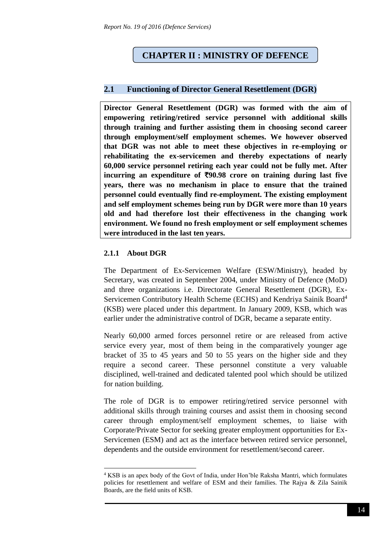# **CHAPTER II : MINISTRY OF DEFENCE**

### **2.1 Functioning of Director General Resettlement (DGR)**

**Director General Resettlement (DGR) was formed with the aim of empowering retiring/retired service personnel with additional skills through training and further assisting them in choosing second career through employment/self employment schemes. We however observed that DGR was not able to meet these objectives in re-employing or rehabilitating the ex-servicemen and thereby expectations of nearly 60,000 service personnel retiring each year could not be fully met. After**  incurring an expenditure of  $\overline{590.98}$  crore on training during last five **years, there was no mechanism in place to ensure that the trained personnel could eventually find re-employment. The existing employment and self employment schemes being run by DGR were more than 10 years old and had therefore lost their effectiveness in the changing work environment. We found no fresh employment or self employment schemes were introduced in the last ten years.**

### **2.1.1 About DGR**

1

The Department of Ex-Servicemen Welfare (ESW/Ministry), headed by Secretary, was created in September 2004, under Ministry of Defence (MoD) and three organizations i.e. Directorate General Resettlement (DGR), Ex-Servicemen Contributory Health Scheme (ECHS) and Kendriya Sainik Board<sup>4</sup> (KSB) were placed under this department. In January 2009, KSB, which was earlier under the administrative control of DGR, became a separate entity.

Nearly 60,000 armed forces personnel retire or are released from active service every year, most of them being in the comparatively younger age bracket of 35 to 45 years and 50 to 55 years on the higher side and they require a second career. These personnel constitute a very valuable disciplined, well-trained and dedicated talented pool which should be utilized for nation building.

The role of DGR is to empower retiring/retired service personnel with additional skills through training courses and assist them in choosing second career through employment/self employment schemes, to liaise with Corporate/Private Sector for seeking greater employment opportunities for Ex-Servicemen (ESM) and act as the interface between retired service personnel, dependents and the outside environment for resettlement/second career.

<sup>4</sup> KSB is an apex body of the Govt of India, under Hon'ble Raksha Mantri, which formulates policies for resettlement and welfare of ESM and their families. The Rajya & Zila Sainik Boards, are the field units of KSB.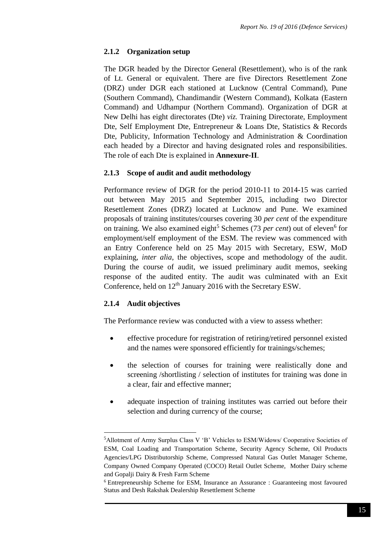## **2.1.2 Organization setup**

The DGR headed by the Director General (Resettlement), who is of the rank of Lt. General or equivalent. There are five Directors Resettlement Zone (DRZ) under DGR each stationed at Lucknow (Central Command), Pune (Southern Command), Chandimandir (Western Command), Kolkata (Eastern Command) and Udhampur (Northern Command). Organization of DGR at New Delhi has eight directorates (Dte) *viz.* Training Directorate, Employment Dte, Self Employment Dte, Entrepreneur & Loans Dte, Statistics & Records Dte, Publicity, Information Technology and Administration & Coordination each headed by a Director and having designated roles and responsibilities. The role of each Dte is explained in **Annexure-II**.

## **2.1.3 Scope of audit and audit methodology**

Performance review of DGR for the period 2010-11 to 2014-15 was carried out between May 2015 and September 2015, including two Director Resettlement Zones (DRZ) located at Lucknow and Pune. We examined proposals of training institutes/courses covering 30 *per cent* of the expenditure on training. We also examined eight<sup>5</sup> Schemes (73 *per cent*) out of eleven<sup>6</sup> for employment/self employment of the ESM. The review was commenced with an Entry Conference held on 25 May 2015 with Secretary, ESW, MoD explaining, *inter alia*, the objectives, scope and methodology of the audit. During the course of audit, we issued preliminary audit memos, seeking response of the audited entity. The audit was culminated with an Exit Conference, held on  $12<sup>th</sup>$  January 2016 with the Secretary ESW.

## **2.1.4 Audit objectives**

**.** 

The Performance review was conducted with a view to assess whether:

- effective procedure for registration of retiring/retired personnel existed and the names were sponsored efficiently for trainings/schemes;
- the selection of courses for training were realistically done and screening /shortlisting / selection of institutes for training was done in a clear, fair and effective manner;
- adequate inspection of training institutes was carried out before their selection and during currency of the course;

<sup>5</sup>Allotment of Army Surplus Class V 'B' Vehicles to ESM/Widows/ Cooperative Societies of ESM, Coal Loading and Transportation Scheme, Security Agency Scheme, Oil Products Agencies/LPG Distributorship Scheme, Compressed Natural Gas Outlet Manager Scheme, Company Owned Company Operated (COCO) Retail Outlet Scheme, Mother Dairy scheme and Gopalji Dairy & Fresh Farm Scheme

<sup>6</sup> Entrepreneurship Scheme for ESM, Insurance an Assurance : Guaranteeing most favoured Status and Desh Rakshak Dealership Resettlement Scheme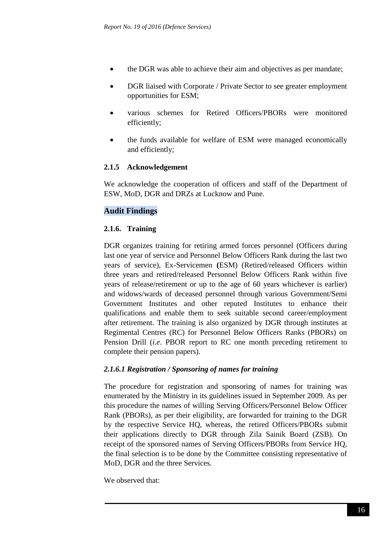- the DGR was able to achieve their aim and objectives as per mandate;
- DGR liaised with Corporate / Private Sector to see greater employment opportunities for ESM;
- various schemes for Retired Officers/PBORs were monitored efficiently;
- the funds available for welfare of ESM were managed economically and efficiently;

### **2.1.5 Acknowledgement**

We acknowledge the cooperation of officers and staff of the Department of ESW, MoD, DGR and DRZs at Lucknow and Pune.

## **Audit Findings**

### **2.1.6. Training**

DGR organizes training for retiring armed forces personnel (Officers during last one year of service and Personnel Below Officers Rank during the last two years of service), Ex-Servicemen **(**ESM) (Retired/released Officers within three years and retired/released Personnel Below Officers Rank within five years of release/retirement or up to the age of 60 years whichever is earlier) and widows/wards of deceased personnel through various Government/Semi Government Institutes and other reputed Institutes to enhance their qualifications and enable them to seek suitable second career/employment after retirement. The training is also organized by DGR through institutes at Regimental Centres (RC) for Personnel Below Officers Ranks (PBORs) on Pension Drill (*i.e*. PBOR report to RC one month preceding retirement to complete their pension papers).

#### *2.1.6.1 Registration / Sponsoring of names for training*

The procedure for registration and sponsoring of names for training was enumerated by the Ministry in its guidelines issued in September 2009. As per this procedure the names of willing Serving Officers/Personnel Below Officer Rank (PBORs), as per their eligibility, are forwarded for training to the DGR by the respective Service HQ, whereas, the retired Officers/PBORs submit their applications directly to DGR through Zila Sainik Board (ZSB). On receipt of the sponsored names of Serving Officers/PBORs from Service HQ, the final selection is to be done by the Committee consisting representative of MoD, DGR and the three Services.

We observed that: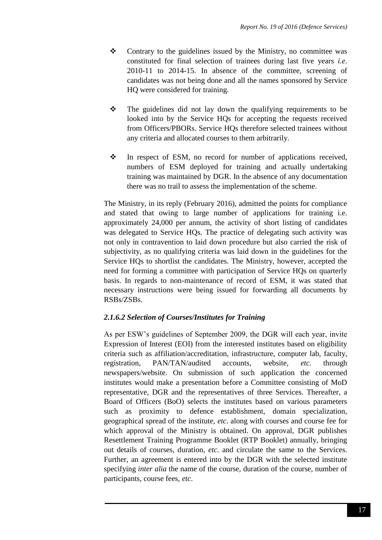- $\triangle$  Contrary to the guidelines issued by the Ministry, no committee was constituted for final selection of trainees during last five years *i.e*. 2010-11 to 2014-15. In absence of the committee, screening of candidates was not being done and all the names sponsored by Service HQ were considered for training.
- $\div$  The guidelines did not lay down the qualifying requirements to be looked into by the Service HQs for accepting the requests received from Officers/PBORs. Service HQs therefore selected trainees without any criteria and allocated courses to them arbitrarily.
- In respect of ESM, no record for number of applications received, numbers of ESM deployed for training and actually undertaking training was maintained by DGR. In the absence of any documentation there was no trail to assess the implementation of the scheme.

The Ministry, in its reply (February 2016), admitted the points for compliance and stated that owing to large number of applications for training i.e. approximately 24,000 per annum, the activity of short listing of candidates was delegated to Service HQs. The practice of delegating such activity was not only in contravention to laid down procedure but also carried the risk of subjectivity, as no qualifying criteria was laid down in the guidelines for the Service HQs to shortlist the candidates. The Ministry, however, accepted the need for forming a committee with participation of Service HQs on quarterly basis. In regards to non-maintenance of record of ESM, it was stated that necessary instructions were being issued for forwarding all documents by RSBs/ZSBs.

## *2.1.6.2 Selection of Courses/Institutes for Training*

As per ESW's guidelines of September 2009, the DGR will each year, invite Expression of Interest (EOI) from the interested institutes based on eligibility criteria such as affiliation/accreditation, infrastructure, computer lab, faculty, registration, PAN/TAN/audited accounts, website, *etc.* through newspapers/website. On submission of such application the concerned institutes would make a presentation before a Committee consisting of MoD representative, DGR and the representatives of three Services. Thereafter, a Board of Officers (BoO) selects the institutes based on various parameters such as proximity to defence establishment, domain specialization, geographical spread of the institute, *etc*. along with courses and course fee for which approval of the Ministry is obtained. On approval, DGR publishes Resettlement Training Programme Booklet (RTP Booklet) annually, bringing out details of courses, duration, *etc.* and circulate the same to the Services. Further, an agreement is entered into by the DGR with the selected institute specifying *inter alia* the name of the course, duration of the course, number of participants, course fees, *etc*.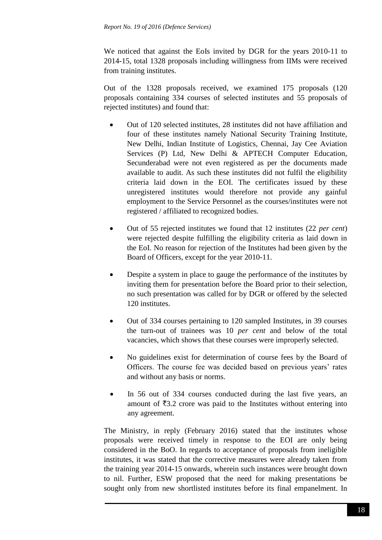We noticed that against the EoIs invited by DGR for the years 2010-11 to 2014-15, total 1328 proposals including willingness from IIMs were received from training institutes.

Out of the 1328 proposals received, we examined 175 proposals (120 proposals containing 334 courses of selected institutes and 55 proposals of rejected institutes) and found that:

- Out of 120 selected institutes, 28 institutes did not have affiliation and four of these institutes namely National Security Training Institute, New Delhi, Indian Institute of Logistics, Chennai, Jay Cee Aviation Services (P) Ltd, New Delhi & APTECH Computer Education, Secunderabad were not even registered as per the documents made available to audit. As such these institutes did not fulfil the eligibility criteria laid down in the EOI. The certificates issued by these unregistered institutes would therefore not provide any gainful employment to the Service Personnel as the courses/institutes were not registered / affiliated to recognized bodies.
- Out of 55 rejected institutes we found that 12 institutes (22 *per cent*) were rejected despite fulfilling the eligibility criteria as laid down in the EoI. No reason for rejection of the Institutes had been given by the Board of Officers, except for the year 2010-11.
- Despite a system in place to gauge the performance of the institutes by inviting them for presentation before the Board prior to their selection, no such presentation was called for by DGR or offered by the selected 120 institutes.
- Out of 334 courses pertaining to 120 sampled Institutes, in 39 courses the turn-out of trainees was 10 *per cent* and below of the total vacancies, which shows that these courses were improperly selected.
- No guidelines exist for determination of course fees by the Board of Officers. The course fee was decided based on previous years' rates and without any basis or norms.
- In 56 out of 334 courses conducted during the last five years, an amount of  $\bar{\xi}$ 3.2 crore was paid to the Institutes without entering into any agreement.

The Ministry, in reply (February 2016) stated that the institutes whose proposals were received timely in response to the EOI are only being considered in the BoO. In regards to acceptance of proposals from ineligible institutes, it was stated that the corrective measures were already taken from the training year 2014-15 onwards, wherein such instances were brought down to nil. Further, ESW proposed that the need for making presentations be sought only from new shortlisted institutes before its final empanelment. In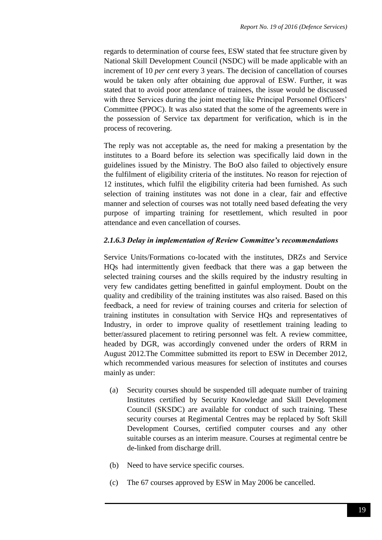regards to determination of course fees, ESW stated that fee structure given by National Skill Development Council (NSDC) will be made applicable with an increment of 10 *per cent* every 3 years. The decision of cancellation of courses would be taken only after obtaining due approval of ESW. Further, it was stated that to avoid poor attendance of trainees, the issue would be discussed with three Services during the joint meeting like Principal Personnel Officers' Committee (PPOC). It was also stated that the some of the agreements were in the possession of Service tax department for verification, which is in the process of recovering.

The reply was not acceptable as, the need for making a presentation by the institutes to a Board before its selection was specifically laid down in the guidelines issued by the Ministry. The BoO also failed to objectively ensure the fulfilment of eligibility criteria of the institutes. No reason for rejection of 12 institutes, which fulfil the eligibility criteria had been furnished. As such selection of training institutes was not done in a clear, fair and effective manner and selection of courses was not totally need based defeating the very purpose of imparting training for resettlement, which resulted in poor attendance and even cancellation of courses.

### *2.1.6.3 Delay in implementation of Review Committee's recommendations*

Service Units/Formations co-located with the institutes, DRZs and Service HQs had intermittently given feedback that there was a gap between the selected training courses and the skills required by the industry resulting in very few candidates getting benefitted in gainful employment. Doubt on the quality and credibility of the training institutes was also raised. Based on this feedback, a need for review of training courses and criteria for selection of training institutes in consultation with Service HQs and representatives of Industry, in order to improve quality of resettlement training leading to better/assured placement to retiring personnel was felt. A review committee, headed by DGR, was accordingly convened under the orders of RRM in August 2012.The Committee submitted its report to ESW in December 2012, which recommended various measures for selection of institutes and courses mainly as under:

- (a) Security courses should be suspended till adequate number of training Institutes certified by Security Knowledge and Skill Development Council (SKSDC) are available for conduct of such training. These security courses at Regimental Centres may be replaced by Soft Skill Development Courses, certified computer courses and any other suitable courses as an interim measure. Courses at regimental centre be de-linked from discharge drill.
- (b) Need to have service specific courses.
- (c) The 67 courses approved by ESW in May 2006 be cancelled.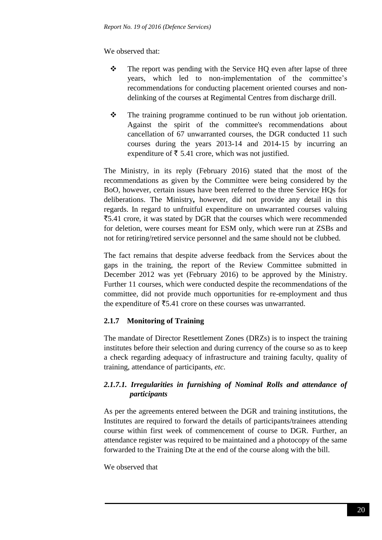We observed that:

- $\cdot \cdot$  The report was pending with the Service HQ even after lapse of three years, which led to non-implementation of the committee's recommendations for conducting placement oriented courses and nondelinking of the courses at Regimental Centres from discharge drill.
- $\mathbf{\hat{P}}$  The training programme continued to be run without job orientation. Against the spirit of the committee's recommendations about cancellation of 67 unwarranted courses, the DGR conducted 11 such courses during the years 2013-14 and 2014-15 by incurring an expenditure of  $\bar{\tau}$  5.41 crore, which was not justified.

The Ministry, in its reply (February 2016) stated that the most of the recommendations as given by the Committee were being considered by the BoO, however, certain issues have been referred to the three Service HQs for deliberations. The Ministry**,** however, did not provide any detail in this regards. In regard to unfruitful expenditure on unwarranted courses valuing `5.41 crore, it was stated by DGR that the courses which were recommended for deletion, were courses meant for ESM only, which were run at ZSBs and not for retiring/retired service personnel and the same should not be clubbed.

The fact remains that despite adverse feedback from the Services about the gaps in the training, the report of the Review Committee submitted in December 2012 was yet (February 2016) to be approved by the Ministry. Further 11 courses, which were conducted despite the recommendations of the committee, did not provide much opportunities for re-employment and thus the expenditure of  $\bar{\xi}$ 5.41 crore on these courses was unwarranted.

# **2.1.7 Monitoring of Training**

The mandate of Director Resettlement Zones (DRZs) is to inspect the training institutes before their selection and during currency of the course so as to keep a check regarding adequacy of infrastructure and training faculty, quality of training, attendance of participants, *etc*.

# *2.1.7.1. Irregularities in furnishing of Nominal Rolls and attendance of participants*

As per the agreements entered between the DGR and training institutions, the Institutes are required to forward the details of participants/trainees attending course within first week of commencement of course to DGR. Further, an attendance register was required to be maintained and a photocopy of the same forwarded to the Training Dte at the end of the course along with the bill.

We observed that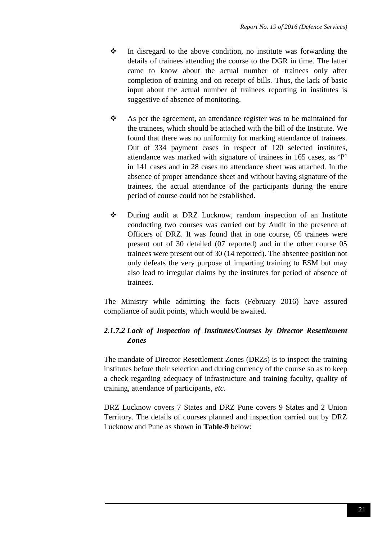- $\cdot \cdot$  In disregard to the above condition, no institute was forwarding the details of trainees attending the course to the DGR in time. The latter came to know about the actual number of trainees only after completion of training and on receipt of bills. Thus, the lack of basic input about the actual number of trainees reporting in institutes is suggestive of absence of monitoring.
- \* As per the agreement, an attendance register was to be maintained for the trainees, which should be attached with the bill of the Institute. We found that there was no uniformity for marking attendance of trainees. Out of 334 payment cases in respect of 120 selected institutes, attendance was marked with signature of trainees in 165 cases, as 'P' in 141 cases and in 28 cases no attendance sheet was attached. In the absence of proper attendance sheet and without having signature of the trainees, the actual attendance of the participants during the entire period of course could not be established.
- During audit at DRZ Lucknow, random inspection of an Institute conducting two courses was carried out by Audit in the presence of Officers of DRZ. It was found that in one course, 05 trainees were present out of 30 detailed (07 reported) and in the other course 05 trainees were present out of 30 (14 reported). The absentee position not only defeats the very purpose of imparting training to ESM but may also lead to irregular claims by the institutes for period of absence of trainees.

The Ministry while admitting the facts (February 2016) have assured compliance of audit points, which would be awaited.

# *2.1.7.2 Lack of Inspection of Institutes/Courses by Director Resettlement Zones*

The mandate of Director Resettlement Zones (DRZs) is to inspect the training institutes before their selection and during currency of the course so as to keep a check regarding adequacy of infrastructure and training faculty, quality of training, attendance of participants, *etc*.

DRZ Lucknow covers 7 States and DRZ Pune covers 9 States and 2 Union Territory. The details of courses planned and inspection carried out by DRZ Lucknow and Pune as shown in **Table-9** below: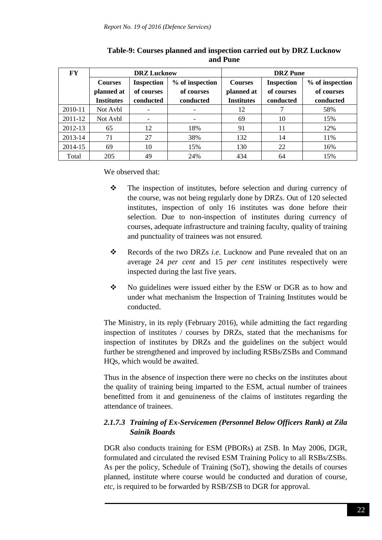| <b>FY</b> | <b>DRZ</b> Lucknow                  |            |                 | <b>DRZ</b> Pune   |                   |                 |
|-----------|-------------------------------------|------------|-----------------|-------------------|-------------------|-----------------|
|           | <b>Inspection</b><br><b>Courses</b> |            | % of inspection | <b>Courses</b>    | <b>Inspection</b> | % of inspection |
|           | planned at                          | of courses | of courses      | planned at        | of courses        | of courses      |
|           | <b>Institutes</b>                   | conducted  | conducted       | <b>Institutes</b> | conducted         | conducted       |
| 2010-11   | Not Avbl                            | -          |                 | 12                |                   | 58%             |
| 2011-12   | Not Avbl                            | -          |                 | 69                | 10                | 15%             |
| 2012-13   | 65                                  | 12         | 18%             | 91                | 11                | 12%             |
| 2013-14   | 71                                  | 27         | 38%             | 132               | 14                | 11%             |
| 2014-15   | 69                                  | 10         | 15%             | 130               | 22                | 16%             |
| Total     | 205                                 | 49         | 24%             | 434               | 64                | 15%             |

**Table-9: Courses planned and inspection carried out by DRZ Lucknow and Pune**

We observed that:

- $\triangle$  The inspection of institutes, before selection and during currency of the course, was not being regularly done by DRZs. Out of 120 selected institutes, inspection of only 16 institutes was done before their selection. Due to non-inspection of institutes during currency of courses, adequate infrastructure and training faculty, quality of training and punctuality of trainees was not ensured.
- \* Records of the two DRZs *i.e.* Lucknow and Pune revealed that on an average 24 *per cent* and 15 *per cent* institutes respectively were inspected during the last five years.
- \* No guidelines were issued either by the ESW or DGR as to how and under what mechanism the Inspection of Training Institutes would be conducted.

The Ministry, in its reply (February 2016), while admitting the fact regarding inspection of institutes / courses by DRZs, stated that the mechanisms for inspection of institutes by DRZs and the guidelines on the subject would further be strengthened and improved by including RSBs/ZSBs and Command HQs, which would be awaited.

Thus in the absence of inspection there were no checks on the institutes about the quality of training being imparted to the ESM, actual number of trainees benefitted from it and genuineness of the claims of institutes regarding the attendance of trainees.

## *2.1.7.3 Training of Ex-Servicemen (Personnel Below Officers Rank) at Zila Sainik Boards*

DGR also conducts training for ESM (PBORs) at ZSB. In May 2006, DGR, formulated and circulated the revised ESM Training Policy to all RSBs/ZSBs. As per the policy, Schedule of Training (SoT), showing the details of courses planned, institute where course would be conducted and duration of course, *etc*, is required to be forwarded by RSB/ZSB to DGR for approval.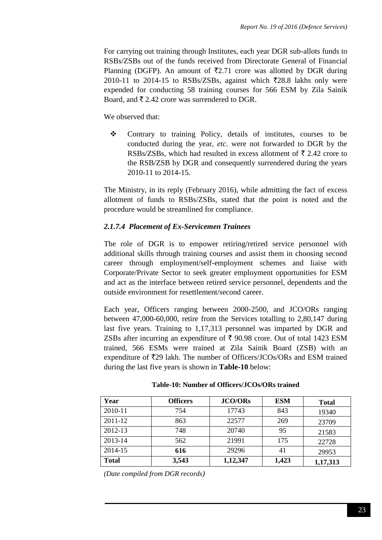For carrying out training through Institutes, each year DGR sub-allots funds to RSBs/ZSBs out of the funds received from Directorate General of Financial Planning (DGFP). An amount of  $\overline{z}2.71$  crore was allotted by DGR during 2010-11 to 2014-15 to RSBs/ZSBs, against which  $\overline{z}$ 28.8 lakhs only were expended for conducting 58 training courses for 566 ESM by Zila Sainik Board, and  $\bar{\xi}$  2.42 crore was surrendered to DGR.

We observed that:

 Contrary to training Policy, details of institutes, courses to be conducted during the year, *etc*. were not forwarded to DGR by the RSBs/ZSBs, which had resulted in excess allotment of  $\bar{\tau}$  2.42 crore to the RSB/ZSB by DGR and consequently surrendered during the years 2010-11 to 2014-15.

The Ministry, in its reply (February 2016), while admitting the fact of excess allotment of funds to RSBs/ZSBs, stated that the point is noted and the procedure would be streamlined for compliance.

## *2.1.7.4 Placement of Ex-Servicemen Trainees*

The role of DGR is to empower retiring/retired service personnel with additional skills through training courses and assist them in choosing second career through employment/self-employment schemes and liaise with Corporate/Private Sector to seek greater employment opportunities for ESM and act as the interface between retired service personnel, dependents and the outside environment for resettlement/second career.

Each year, Officers ranging between 2000-2500, and JCO/ORs ranging between 47,000-60,000, retire from the Services totalling to 2,80,147 during last five years. Training to 1,17,313 personnel was imparted by DGR and ZSBs after incurring an expenditure of  $\bar{\tau}$  90.98 crore. Out of total 1423 ESM trained, 566 ESMs were trained at Zila Sainik Board (ZSB) with an expenditure of  $\overline{\xi}$ 29 lakh. The number of Officers/JCOs/ORs and ESM trained during the last five years is shown in **Table-10** below:

| Year         | <b>Officers</b> | <b>JCO/ORs</b> | <b>ESM</b> | <b>Total</b> |
|--------------|-----------------|----------------|------------|--------------|
| 2010-11      | 754             | 17743          | 843        | 19340        |
| 2011-12      | 863             | 22577          | 269        | 23709        |
| 2012-13      | 748             | 20740          | 95         | 21583        |
| 2013-14      | 562             | 21991          | 175        | 22728        |
| 2014-15      | 616             | 29296          | 41         | 29953        |
| <b>Total</b> | 3,543           | 1,12,347       | 1,423      | 1,17,313     |

#### **Table-10: Number of Officers/JCOs/ORs trained**

*(Date compiled from DGR records)*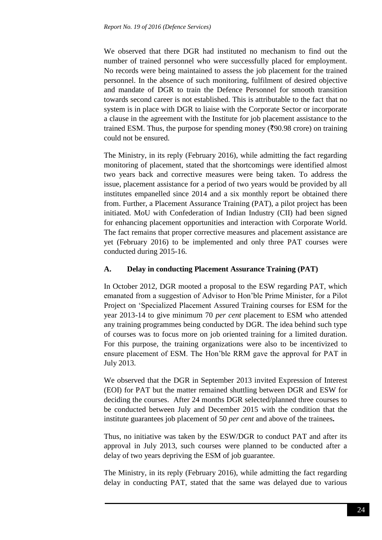We observed that there DGR had instituted no mechanism to find out the number of trained personnel who were successfully placed for employment. No records were being maintained to assess the job placement for the trained personnel. In the absence of such monitoring, fulfilment of desired objective and mandate of DGR to train the Defence Personnel for smooth transition towards second career is not established. This is attributable to the fact that no system is in place with DGR to liaise with the Corporate Sector or incorporate a clause in the agreement with the Institute for job placement assistance to the trained ESM. Thus, the purpose for spending money ( $\overline{\xi}$ 90.98 crore) on training could not be ensured.

The Ministry, in its reply (February 2016), while admitting the fact regarding monitoring of placement, stated that the shortcomings were identified almost two years back and corrective measures were being taken. To address the issue, placement assistance for a period of two years would be provided by all institutes empanelled since 2014 and a six monthly report be obtained there from. Further, a Placement Assurance Training (PAT), a pilot project has been initiated. MoU with Confederation of Indian Industry (CII) had been signed for enhancing placement opportunities and interaction with Corporate World. The fact remains that proper corrective measures and placement assistance are yet (February 2016) to be implemented and only three PAT courses were conducted during 2015-16.

### **A. Delay in conducting Placement Assurance Training (PAT)**

In October 2012, DGR mooted a proposal to the ESW regarding PAT, which emanated from a suggestion of Advisor to Hon'ble Prime Minister, for a Pilot Project on 'Specialized Placement Assured Training courses for ESM for the year 2013-14 to give minimum 70 *per cent* placement to ESM who attended any training programmes being conducted by DGR. The idea behind such type of courses was to focus more on job oriented training for a limited duration. For this purpose, the training organizations were also to be incentivized to ensure placement of ESM. The Hon'ble RRM gave the approval for PAT in July 2013.

We observed that the DGR in September 2013 invited Expression of Interest (EOI) for PAT but the matter remained shuttling between DGR and ESW for deciding the courses. After 24 months DGR selected/planned three courses to be conducted between July and December 2015 with the condition that the institute guarantees job placement of 50 *per cent* and above of the trainees**.**

Thus, no initiative was taken by the ESW/DGR to conduct PAT and after its approval in July 2013, such courses were planned to be conducted after a delay of two years depriving the ESM of job guarantee.

The Ministry, in its reply (February 2016), while admitting the fact regarding delay in conducting PAT, stated that the same was delayed due to various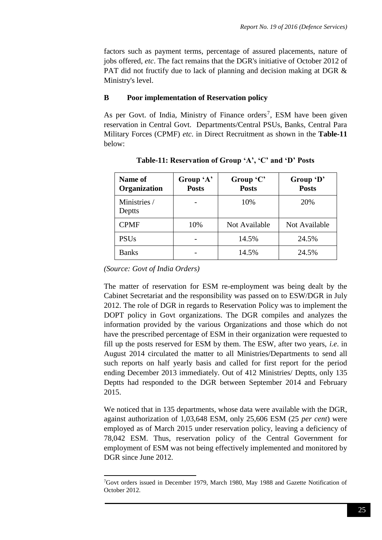factors such as payment terms, percentage of assured placements, nature of jobs offered, *etc*. The fact remains that the DGR's initiative of October 2012 of PAT did not fructify due to lack of planning and decision making at DGR  $\&$ Ministry's level.

#### **B Poor implementation of Reservation policy**

As per Govt. of India, Ministry of Finance orders<sup>7</sup>, ESM have been given reservation in Central Govt. Departments/Central PSUs, Banks, Central Para Military Forces (CPMF) *etc*. in Direct Recruitment as shown in the **Table-11** below:

| <b>Name of</b><br>Organization | Group 'A'<br><b>Posts</b> | Group 'C'<br><b>Posts</b> | Group 'D'<br><b>Posts</b> |
|--------------------------------|---------------------------|---------------------------|---------------------------|
| Ministries /<br>Deptts         |                           | 10%                       | 20%                       |
| <b>CPMF</b>                    | 10%                       | Not Available             | Not Available             |
| <b>PSUs</b>                    |                           | 14.5%                     | 24.5%                     |
| <b>Banks</b>                   |                           | 14.5%                     | 24.5%                     |

**Table-11: Reservation of Group 'A', 'C' and 'D' Posts**

*(Source: Govt of India Orders)*

The matter of reservation for ESM re-employment was being dealt by the Cabinet Secretariat and the responsibility was passed on to ESW/DGR in July 2012. The role of DGR in regards to Reservation Policy was to implement the DOPT policy in Govt organizations. The DGR compiles and analyzes the information provided by the various Organizations and those which do not have the prescribed percentage of ESM in their organization were requested to fill up the posts reserved for ESM by them. The ESW, after two years, *i.e*. in August 2014 circulated the matter to all Ministries/Departments to send all such reports on half yearly basis and called for first report for the period ending December 2013 immediately. Out of 412 Ministries/ Deptts, only 135 Deptts had responded to the DGR between September 2014 and February 2015.

We noticed that in 135 departments, whose data were available with the DGR, against authorization of 1,03,648 ESM, only 25,606 ESM (25 *per cent*) were employed as of March 2015 under reservation policy, leaving a deficiency of 78,042 ESM. Thus, reservation policy of the Central Government for employment of ESM was not being effectively implemented and monitored by DGR since June 2012.

**<sup>.</sup>** <sup>7</sup>Govt orders issued in December 1979, March 1980, May 1988 and Gazette Notification of October 2012.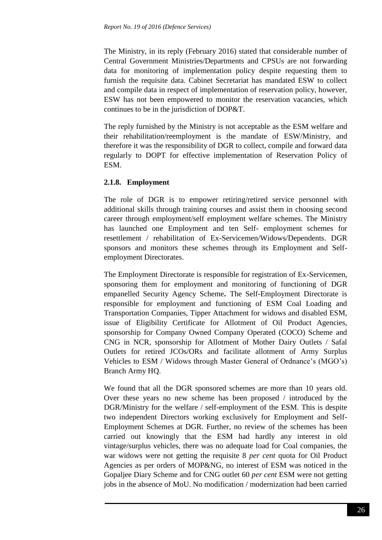The Ministry, in its reply (February 2016) stated that considerable number of Central Government Ministries/Departments and CPSUs are not forwarding data for monitoring of implementation policy despite requesting them to furnish the requisite data. Cabinet Secretariat has mandated ESW to collect and compile data in respect of implementation of reservation policy, however, ESW has not been empowered to monitor the reservation vacancies, which continues to be in the jurisdiction of DOP&T.

The reply furnished by the Ministry is not acceptable as the ESM welfare and their rehabilitation/reemployment is the mandate of ESW/Ministry, and therefore it was the responsibility of DGR to collect, compile and forward data regularly to DOPT for effective implementation of Reservation Policy of ESM.

## **2.1.8. Employment**

The role of DGR is to empower retiring/retired service personnel with additional skills through training courses and assist them in choosing second career through employment/self employment welfare schemes. The Ministry has launched one Employment and ten Self- employment schemes for resettlement / rehabilitation of Ex-Servicemen/Widows/Dependents. DGR sponsors and monitors these schemes through its Employment and Selfemployment Directorates.

The Employment Directorate is responsible for registration of Ex-Servicemen, sponsoring them for employment and monitoring of functioning of DGR empanelled Security Agency Scheme**.** The Self-Employment Directorate is responsible for employment and functioning of ESM Coal Loading and Transportation Companies, Tipper Attachment for widows and disabled ESM, issue of Eligibility Certificate for Allotment of Oil Product Agencies, sponsorship for Company Owned Company Operated (COCO) Scheme and CNG in NCR, sponsorship for Allotment of Mother Dairy Outlets / Safal Outlets for retired JCOs/ORs and facilitate allotment of Army Surplus Vehicles to ESM / Widows through Master General of Ordnance's (MGO's) Branch Army HQ.

We found that all the DGR sponsored schemes are more than 10 years old. Over these years no new scheme has been proposed / introduced by the DGR/Ministry for the welfare / self-employment of the ESM. This is despite two independent Directors working exclusively for Employment and Self-Employment Schemes at DGR. Further, no review of the schemes has been carried out knowingly that the ESM had hardly any interest in old vintage/surplus vehicles, there was no adequate load for Coal companies, the war widows were not getting the requisite 8 *per cent* quota for Oil Product Agencies as per orders of MOP&NG, no interest of ESM was noticed in the Gopaljee Diary Scheme and for CNG outlet 60 *per cent* ESM were not getting jobs in the absence of MoU. No modification / modernization had been carried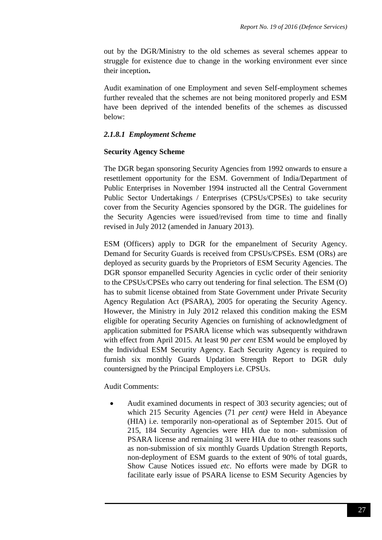out by the DGR/Ministry to the old schemes as several schemes appear to struggle for existence due to change in the working environment ever since their inception**.**

Audit examination of one Employment and seven Self-employment schemes further revealed that the schemes are not being monitored properly and ESM have been deprived of the intended benefits of the schemes as discussed below:

### *2.1.8.1 Employment Scheme*

#### **Security Agency Scheme**

The DGR began sponsoring Security Agencies from 1992 onwards to ensure a resettlement opportunity for the ESM. Government of India/Department of Public Enterprises in November 1994 instructed all the Central Government Public Sector Undertakings / Enterprises (CPSUs/CPSEs) to take security cover from the Security Agencies sponsored by the DGR. The guidelines for the Security Agencies were issued/revised from time to time and finally revised in July 2012 (amended in January 2013).

ESM (Officers) apply to DGR for the empanelment of Security Agency. Demand for Security Guards is received from CPSUs/CPSEs. ESM (ORs) are deployed as security guards by the Proprietors of ESM Security Agencies. The DGR sponsor empanelled Security Agencies in cyclic order of their seniority to the CPSUs/CPSEs who carry out tendering for final selection. The ESM (O) has to submit license obtained from State Government under Private Security Agency Regulation Act (PSARA), 2005 for operating the Security Agency. However, the Ministry in July 2012 relaxed this condition making the ESM eligible for operating Security Agencies on furnishing of acknowledgment of application submitted for PSARA license which was subsequently withdrawn with effect from April 2015. At least 90 *per cent* ESM would be employed by the Individual ESM Security Agency. Each Security Agency is required to furnish six monthly Guards Updation Strength Report to DGR duly countersigned by the Principal Employers i.e. CPSUs.

Audit Comments:

 Audit examined documents in respect of 303 security agencies; out of which 215 Security Agencies (71 *per cent)* were Held in Abeyance (HIA) i.e. temporarily non-operational as of September 2015. Out of 215, 184 Security Agencies were HIA due to non- submission of PSARA license and remaining 31 were HIA due to other reasons such as non-submission of six monthly Guards Updation Strength Reports, non-deployment of ESM guards to the extent of 90% of total guards, Show Cause Notices issued *etc*. No efforts were made by DGR to facilitate early issue of PSARA license to ESM Security Agencies by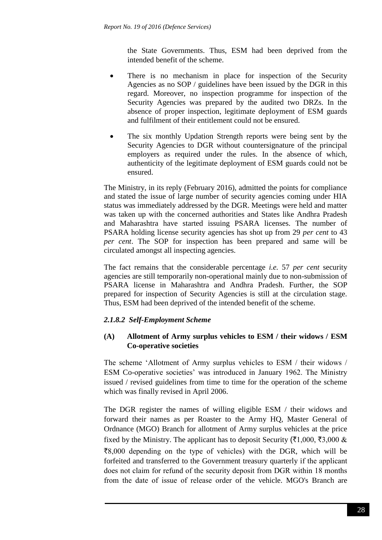the State Governments. Thus, ESM had been deprived from the intended benefit of the scheme.

- There is no mechanism in place for inspection of the Security Agencies as no SOP / guidelines have been issued by the DGR in this regard. Moreover, no inspection programme for inspection of the Security Agencies was prepared by the audited two DRZs. In the absence of proper inspection, legitimate deployment of ESM guards and fulfilment of their entitlement could not be ensured.
- The six monthly Updation Strength reports were being sent by the Security Agencies to DGR without countersignature of the principal employers as required under the rules. In the absence of which, authenticity of the legitimate deployment of ESM guards could not be ensured.

The Ministry, in its reply (February 2016), admitted the points for compliance and stated the issue of large number of security agencies coming under HIA status was immediately addressed by the DGR. Meetings were held and matter was taken up with the concerned authorities and States like Andhra Pradesh and Maharashtra have started issuing PSARA licenses. The number of PSARA holding license security agencies has shot up from 29 *per cent* to 43 *per cent*. The SOP for inspection has been prepared and same will be circulated amongst all inspecting agencies.

The fact remains that the considerable percentage *i.e.* 57 *per cent* security agencies are still temporarily non-operational mainly due to non-submission of PSARA license in Maharashtra and Andhra Pradesh. Further, the SOP prepared for inspection of Security Agencies is still at the circulation stage. Thus, ESM had been deprived of the intended benefit of the scheme.

# *2.1.8.2 Self-Employment Scheme*

## **(A) Allotment of Army surplus vehicles to ESM / their widows / ESM Co-operative societies**

The scheme 'Allotment of Army surplus vehicles to ESM / their widows / ESM Co-operative societies' was introduced in January 1962. The Ministry issued / revised guidelines from time to time for the operation of the scheme which was finally revised in April 2006.

The DGR register the names of willing eligible ESM / their widows and forward their names as per Roaster to the Army HQ, Master General of Ordnance (MGO) Branch for allotment of Army surplus vehicles at the price fixed by the Ministry. The applicant has to deposit Security ( $\overline{(}1,000, \overline{}),000 \&$  $\overline{88,000}$  depending on the type of vehicles) with the DGR, which will be forfeited and transferred to the Government treasury quarterly if the applicant does not claim for refund of the security deposit from DGR within 18 months from the date of issue of release order of the vehicle. MGO's Branch are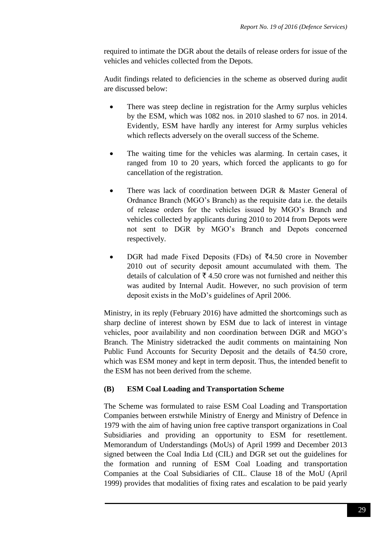required to intimate the DGR about the details of release orders for issue of the vehicles and vehicles collected from the Depots.

Audit findings related to deficiencies in the scheme as observed during audit are discussed below:

- There was steep decline in registration for the Army surplus vehicles by the ESM, which was 1082 nos. in 2010 slashed to 67 nos. in 2014. Evidently, ESM have hardly any interest for Army surplus vehicles which reflects adversely on the overall success of the Scheme.
- The waiting time for the vehicles was alarming. In certain cases, it ranged from 10 to 20 years, which forced the applicants to go for cancellation of the registration.
- There was lack of coordination between DGR & Master General of Ordnance Branch (MGO's Branch) as the requisite data i.e. the details of release orders for the vehicles issued by MGO's Branch and vehicles collected by applicants during 2010 to 2014 from Depots were not sent to DGR by MGO's Branch and Depots concerned respectively.
- DGR had made Fixed Deposits (FDs) of  $\bar{z}4.50$  crore in November 2010 out of security deposit amount accumulated with them*.* The details of calculation of  $\bar{\tau}$  4.50 crore was not furnished and neither this was audited by Internal Audit. However, no such provision of term deposit exists in the MoD's guidelines of April 2006.

Ministry, in its reply (February 2016) have admitted the shortcomings such as sharp decline of interest shown by ESM due to lack of interest in vintage vehicles, poor availability and non coordination between DGR and MGO's Branch. The Ministry sidetracked the audit comments on maintaining Non Public Fund Accounts for Security Deposit and the details of  $\bar{z}4.50$  crore, which was ESM money and kept in term deposit. Thus, the intended benefit to the ESM has not been derived from the scheme.

#### **(B) ESM Coal Loading and Transportation Scheme**

The Scheme was formulated to raise ESM Coal Loading and Transportation Companies between erstwhile Ministry of Energy and Ministry of Defence in 1979 with the aim of having union free captive transport organizations in Coal Subsidiaries and providing an opportunity to ESM for resettlement. Memorandum of Understandings (MoUs) of April 1999 and December 2013 signed between the Coal India Ltd (CIL) and DGR set out the guidelines for the formation and running of ESM Coal Loading and transportation Companies at the Coal Subsidiaries of CIL. Clause 18 of the MoU (April 1999) provides that modalities of fixing rates and escalation to be paid yearly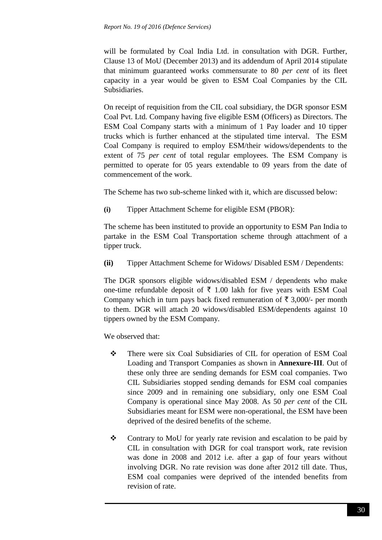will be formulated by Coal India Ltd. in consultation with DGR. Further, Clause 13 of MoU (December 2013) and its addendum of April 2014 stipulate that minimum guaranteed works commensurate to 80 *per cent* of its fleet capacity in a year would be given to ESM Coal Companies by the CIL Subsidiaries.

On receipt of requisition from the CIL coal subsidiary, the DGR sponsor ESM Coal Pvt. Ltd. Company having five eligible ESM (Officers) as Directors. The ESM Coal Company starts with a minimum of 1 Pay loader and 10 tipper trucks which is further enhanced at the stipulated time interval. The ESM Coal Company is required to employ ESM/their widows/dependents to the extent of 75 *per cent* of total regular employees. The ESM Company is permitted to operate for 05 years extendable to 09 years from the date of commencement of the work.

The Scheme has two sub-scheme linked with it, which are discussed below:

**(i)** Tipper Attachment Scheme for eligible ESM (PBOR):

The scheme has been instituted to provide an opportunity to ESM Pan India to partake in the ESM Coal Transportation scheme through attachment of a tipper truck.

**(ii)** Tipper Attachment Scheme for Widows/ Disabled ESM / Dependents:

The DGR sponsors eligible widows/disabled ESM / dependents who make one-time refundable deposit of  $\bar{\tau}$  1.00 lakh for five years with ESM Coal Company which in turn pays back fixed remuneration of  $\bar{\tau}$  3,000/- per month to them. DGR will attach 20 widows/disabled ESM/dependents against 10 tippers owned by the ESM Company.

We observed that:

- There were six Coal Subsidiaries of CIL for operation of ESM Coal Loading and Transport Companies as shown in **Annexure-III***.* Out of these only three are sending demands for ESM coal companies. Two CIL Subsidiaries stopped sending demands for ESM coal companies since 2009 and in remaining one subsidiary, only one ESM Coal Company is operational since May 2008. As 50 *per cent* of the CIL Subsidiaries meant for ESM were non-operational, the ESM have been deprived of the desired benefits of the scheme.
- Contrary to MoU for yearly rate revision and escalation to be paid by CIL in consultation with DGR for coal transport work, rate revision was done in 2008 and 2012 i.e. after a gap of four years without involving DGR. No rate revision was done after 2012 till date. Thus, ESM coal companies were deprived of the intended benefits from revision of rate.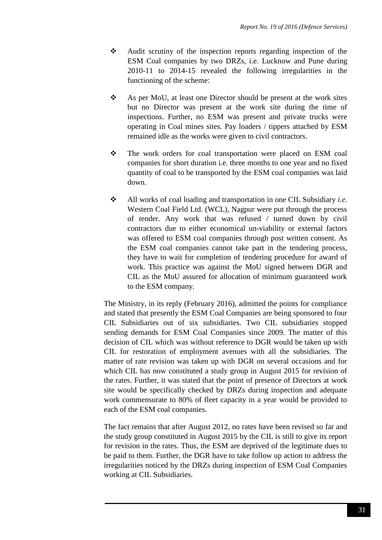- Audit scrutiny of the inspection reports regarding inspection of the ESM Coal companies by two DRZs, i.e. Lucknow and Pune during 2010-11 to 2014-15 revealed the following irregularities in the functioning of the scheme:
- As per MoU, at least one Director should be present at the work sites but no Director was present at the work site during the time of inspections. Further, no ESM was present and private trucks were operating in Coal mines sites. Pay loaders / tippers attached by ESM remained idle as the works were given to civil contractors.
- \* The work orders for coal transportation were placed on ESM coal companies for short duration i.e. three months to one year and no fixed quantity of coal to be transported by the ESM coal companies was laid down.
- All works of coal loading and transportation in one CIL Subsidiary *i.e.* Western Coal Field Ltd. (WCL), Nagpur were put through the process of tender. Any work that was refused / turned down by civil contractors due to either economical un-viability or external factors was offered to ESM coal companies through post written consent. As the ESM coal companies cannot take part in the tendering process, they have to wait for completion of tendering procedure for award of work. This practice was against the MoU signed between DGR and CIL as the MoU assured for allocation of minimum guaranteed work to the ESM company.

The Ministry, in its reply (February 2016), admitted the points for compliance and stated that presently the ESM Coal Companies are being sponsored to four CIL Subsidiaries out of six subsidiaries. Two CIL subsidiaries stopped sending demands for ESM Coal Companies since 2009. The matter of this decision of CIL which was without reference to DGR would be taken up with CIL for restoration of employment avenues with all the subsidiaries. The matter of rate revision was taken up with DGR on several occasions and for which CIL has now constituted a study group in August 2015 for revision of the rates. Further, it was stated that the point of presence of Directors at work site would be specifically checked by DRZs during inspection and adequate work commensurate to 80% of fleet capacity in a year would be provided to each of the ESM coal companies.

The fact remains that after August 2012, no rates have been revised so far and the study group constituted in August 2015 by the CIL is still to give its report for revision in the rates. Thus, the ESM are deprived of the legitimate dues to be paid to them. Further, the DGR have to take follow up action to address the irregularities noticed by the DRZs during inspection of ESM Coal Companies working at CIL Subsidiaries.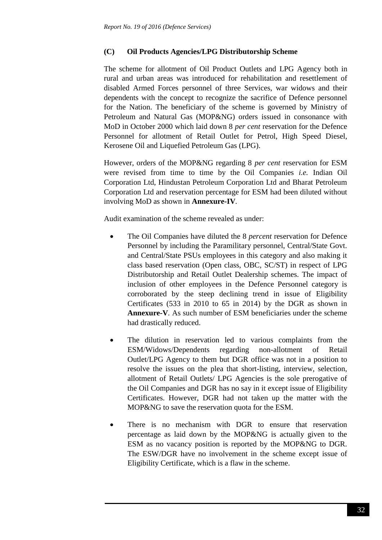### **(C) Oil Products Agencies/LPG Distributorship Scheme**

The scheme for allotment of Oil Product Outlets and LPG Agency both in rural and urban areas was introduced for rehabilitation and resettlement of disabled Armed Forces personnel of three Services, war widows and their dependents with the concept to recognize the sacrifice of Defence personnel for the Nation. The beneficiary of the scheme is governed by Ministry of Petroleum and Natural Gas (MOP&NG) orders issued in consonance with MoD in October 2000 which laid down 8 *per cent* reservation for the Defence Personnel for allotment of Retail Outlet for Petrol, High Speed Diesel, Kerosene Oil and Liquefied Petroleum Gas (LPG).

However, orders of the MOP&NG regarding 8 *per cent* reservation for ESM were revised from time to time by the Oil Companies *i.e.* Indian Oil Corporation Ltd, Hindustan Petroleum Corporation Ltd and Bharat Petroleum Corporation Ltd and reservation percentage for ESM had been diluted without involving MoD as shown in **Annexure-IV***.* 

Audit examination of the scheme revealed as under:

- The Oil Companies have diluted the 8 *percent* reservation for Defence Personnel by including the Paramilitary personnel, Central/State Govt. and Central/State PSUs employees in this category and also making it class based reservation (Open class, OBC, SC/ST) in respect of LPG Distributorship and Retail Outlet Dealership schemes. The impact of inclusion of other employees in the Defence Personnel category is corroborated by the steep declining trend in issue of Eligibility Certificates (533 in 2010 to 65 in 2014) by the DGR as shown in **Annexure-V***.* As such number of ESM beneficiaries under the scheme had drastically reduced.
- The dilution in reservation led to various complaints from the ESM/Widows/Dependents regarding non-allotment of Retail Outlet/LPG Agency to them but DGR office was not in a position to resolve the issues on the plea that short-listing, interview, selection, allotment of Retail Outlets/ LPG Agencies is the sole prerogative of the Oil Companies and DGR has no say in it except issue of Eligibility Certificates. However, DGR had not taken up the matter with the MOP&NG to save the reservation quota for the ESM.
- There is no mechanism with DGR to ensure that reservation percentage as laid down by the MOP&NG is actually given to the ESM as no vacancy position is reported by the MOP&NG to DGR. The ESW/DGR have no involvement in the scheme except issue of Eligibility Certificate, which is a flaw in the scheme.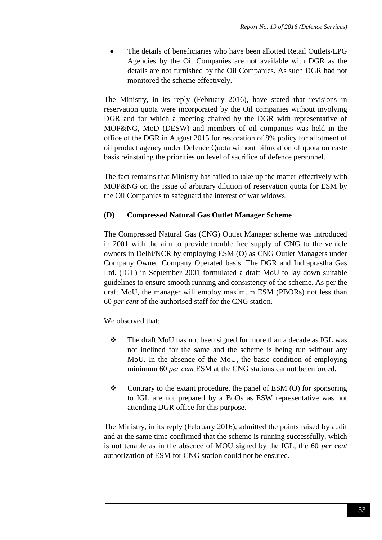The details of beneficiaries who have been allotted Retail Outlets/LPG Agencies by the Oil Companies are not available with DGR as the details are not furnished by the Oil Companies. As such DGR had not monitored the scheme effectively.

The Ministry, in its reply (February 2016), have stated that revisions in reservation quota were incorporated by the Oil companies without involving DGR and for which a meeting chaired by the DGR with representative of MOP&NG, MoD (DESW) and members of oil companies was held in the office of the DGR in August 2015 for restoration of 8% policy for allotment of oil product agency under Defence Quota without bifurcation of quota on caste basis reinstating the priorities on level of sacrifice of defence personnel.

The fact remains that Ministry has failed to take up the matter effectively with MOP&NG on the issue of arbitrary dilution of reservation quota for ESM by the Oil Companies to safeguard the interest of war widows.

## **(D) Compressed Natural Gas Outlet Manager Scheme**

The Compressed Natural Gas (CNG) Outlet Manager scheme was introduced in 2001 with the aim to provide trouble free supply of CNG to the vehicle owners in Delhi/NCR by employing ESM (O) as CNG Outlet Managers under Company Owned Company Operated basis. The DGR and Indraprastha Gas Ltd. (IGL) in September 2001 formulated a draft MoU to lay down suitable guidelines to ensure smooth running and consistency of the scheme. As per the draft MoU, the manager will employ maximum ESM (PBORs) not less than 60 *per cent* of the authorised staff for the CNG station.

We observed that:

- \* The draft MoU has not been signed for more than a decade as IGL was not inclined for the same and the scheme is being run without any MoU. In the absence of the MoU, the basic condition of employing minimum 60 *per cent* ESM at the CNG stations cannot be enforced.
- $\div$  Contrary to the extant procedure, the panel of ESM (O) for sponsoring to IGL are not prepared by a BoOs as ESW representative was not attending DGR office for this purpose.

The Ministry, in its reply (February 2016), admitted the points raised by audit and at the same time confirmed that the scheme is running successfully, which is not tenable as in the absence of MOU signed by the IGL, the 60 *per cent* authorization of ESM for CNG station could not be ensured.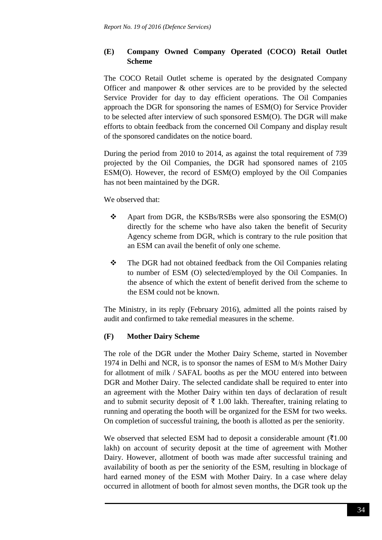## **(E) Company Owned Company Operated (COCO) Retail Outlet Scheme**

The COCO Retail Outlet scheme is operated by the designated Company Officer and manpower & other services are to be provided by the selected Service Provider for day to day efficient operations. The Oil Companies approach the DGR for sponsoring the names of ESM(O) for Service Provider to be selected after interview of such sponsored ESM(O). The DGR will make efforts to obtain feedback from the concerned Oil Company and display result of the sponsored candidates on the notice board.

During the period from 2010 to 2014, as against the total requirement of 739 projected by the Oil Companies, the DGR had sponsored names of 2105 ESM(O). However, the record of ESM(O) employed by the Oil Companies has not been maintained by the DGR.

### We observed that:

- $\triangle$  Apart from DGR, the KSBs/RSBs were also sponsoring the ESM(O) directly for the scheme who have also taken the benefit of Security Agency scheme from DGR, which is contrary to the rule position that an ESM can avail the benefit of only one scheme.
- The DGR had not obtained feedback from the Oil Companies relating to number of ESM (O) selected/employed by the Oil Companies. In the absence of which the extent of benefit derived from the scheme to the ESM could not be known.

The Ministry, in its reply (February 2016), admitted all the points raised by audit and confirmed to take remedial measures in the scheme.

## **(F) Mother Dairy Scheme**

The role of the DGR under the Mother Dairy Scheme, started in November 1974 in Delhi and NCR, is to sponsor the names of ESM to M/s Mother Dairy for allotment of milk / SAFAL booths as per the MOU entered into between DGR and Mother Dairy. The selected candidate shall be required to enter into an agreement with the Mother Dairy within ten days of declaration of result and to submit security deposit of  $\bar{\tau}$  1.00 lakh. Thereafter, training relating to running and operating the booth will be organized for the ESM for two weeks. On completion of successful training, the booth is allotted as per the seniority.

We observed that selected ESM had to deposit a considerable amount  $(\overline{\tau}1.00)$ lakh) on account of security deposit at the time of agreement with Mother Dairy. However, allotment of booth was made after successful training and availability of booth as per the seniority of the ESM, resulting in blockage of hard earned money of the ESM with Mother Dairy. In a case where delay occurred in allotment of booth for almost seven months, the DGR took up the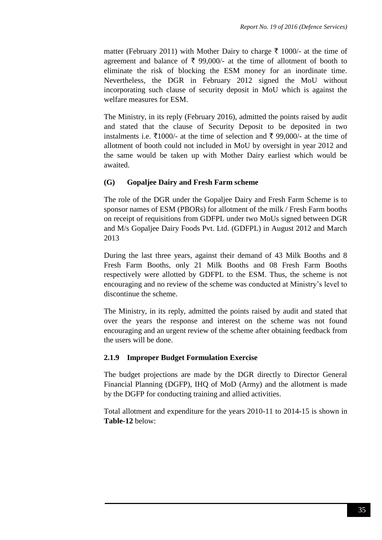matter (February 2011) with Mother Dairy to charge  $\bar{\tau}$  1000/- at the time of agreement and balance of  $\bar{\tau}$  99,000/- at the time of allotment of booth to eliminate the risk of blocking the ESM money for an inordinate time. Nevertheless, the DGR in February 2012 signed the MoU without incorporating such clause of security deposit in MoU which is against the welfare measures for ESM.

The Ministry, in its reply (February 2016), admitted the points raised by audit and stated that the clause of Security Deposit to be deposited in two instalments i.e.  $\bar{\tau}1000/4$  at the time of selection and  $\bar{\tau}$  99,000/- at the time of allotment of booth could not included in MoU by oversight in year 2012 and the same would be taken up with Mother Dairy earliest which would be awaited.

### **(G) Gopaljee Dairy and Fresh Farm scheme**

The role of the DGR under the Gopaljee Dairy and Fresh Farm Scheme is to sponsor names of ESM (PBORs) for allotment of the milk / Fresh Farm booths on receipt of requisitions from GDFPL under two MoUs signed between DGR and M/s Gopaljee Dairy Foods Pvt. Ltd. (GDFPL) in August 2012 and March 2013

During the last three years, against their demand of 43 Milk Booths and 8 Fresh Farm Booths, only 21 Milk Booths and 08 Fresh Farm Booths respectively were allotted by GDFPL to the ESM. Thus, the scheme is not encouraging and no review of the scheme was conducted at Ministry's level to discontinue the scheme.

The Ministry, in its reply, admitted the points raised by audit and stated that over the years the response and interest on the scheme was not found encouraging and an urgent review of the scheme after obtaining feedback from the users will be done.

#### **2.1.9 Improper Budget Formulation Exercise**

The budget projections are made by the DGR directly to Director General Financial Planning (DGFP), IHQ of MoD (Army) and the allotment is made by the DGFP for conducting training and allied activities.

Total allotment and expenditure for the years 2010-11 to 2014-15 is shown in **Table-12** below: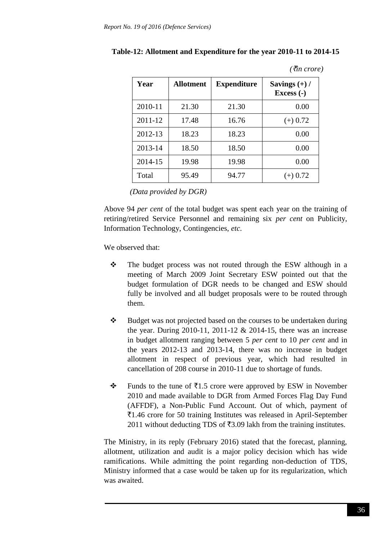| Year    | Allotment | <b>Expenditure</b> | Savings $(+)$ /<br>Excess (-) |
|---------|-----------|--------------------|-------------------------------|
| 2010-11 | 21.30     | 21.30              | 0.00                          |
| 2011-12 | 17.48     | 16.76              | $(+)$ 0.72                    |
| 2012-13 | 18.23     | 18.23              | 0.00                          |
| 2013-14 | 18.50     | 18.50              | 0.00                          |
| 2014-15 | 19.98     | 19.98              | 0.00                          |
| Total   | 95.49     | 94.77              | 0.72<br>$(+)$                 |

**Table-12: Allotment and Expenditure for the year 2010-11 to 2014-15**

*(*`*in crore)*

*(Data provided by DGR)*

Above 94 *per cent* of the total budget was spent each year on the training of retiring/retired Service Personnel and remaining six *per cent* on Publicity, Information Technology, Contingencies, *etc*.

We observed that:

- \* The budget process was not routed through the ESW although in a meeting of March 2009 Joint Secretary ESW pointed out that the budget formulation of DGR needs to be changed and ESW should fully be involved and all budget proposals were to be routed through them.
- \* Budget was not projected based on the courses to be undertaken during the year. During  $2010-11$ ,  $2011-12 \& 2014-15$ , there was an increase in budget allotment ranging between 5 *per cent* to 10 *per cent* and in the years 2012-13 and 2013-14, there was no increase in budget allotment in respect of previous year, which had resulted in cancellation of 208 course in 2010-11 due to shortage of funds.
- $\div$  Funds to the tune of  $\overline{\tau}$ 1.5 crore were approved by ESW in November 2010 and made available to DGR from Armed Forces Flag Day Fund (AFFDF), a Non-Public Fund Account. Out of which, payment of `1.46 crore for 50 training Institutes was released in April-September 2011 without deducting TDS of ₹3.09 lakh from the training institutes.

The Ministry, in its reply (February 2016) stated that the forecast, planning, allotment, utilization and audit is a major policy decision which has wide ramifications. While admitting the point regarding non-deduction of TDS, Ministry informed that a case would be taken up for its regularization, which was awaited.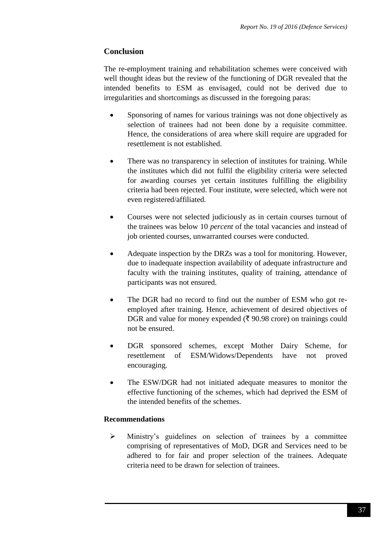# **Conclusion**

The re-employment training and rehabilitation schemes were conceived with well thought ideas but the review of the functioning of DGR revealed that the intended benefits to ESM as envisaged, could not be derived due to irregularities and shortcomings as discussed in the foregoing paras:

- Sponsoring of names for various trainings was not done objectively as selection of trainees had not been done by a requisite committee. Hence, the considerations of area where skill require are upgraded for resettlement is not established.
- There was no transparency in selection of institutes for training. While the institutes which did not fulfil the eligibility criteria were selected for awarding courses yet certain institutes fulfilling the eligibility criteria had been rejected. Four institute, were selected, which were not even registered/affiliated.
- Courses were not selected judiciously as in certain courses turnout of the trainees was below 10 *percent* of the total vacancies and instead of job oriented courses, unwarranted courses were conducted.
- Adequate inspection by the DRZs was a tool for monitoring. However, due to inadequate inspection availability of adequate infrastructure and faculty with the training institutes, quality of training, attendance of participants was not ensured.
- The DGR had no record to find out the number of ESM who got reemployed after training. Hence, achievement of desired objectives of DGR and value for money expended ( $\bar{\tau}$  90.98 crore) on trainings could not be ensured.
- DGR sponsored schemes, except Mother Dairy Scheme, for resettlement of ESM/Widows/Dependents have not proved encouraging.
- The ESW/DGR had not initiated adequate measures to monitor the effective functioning of the schemes, which had deprived the ESM of the intended benefits of the schemes.

# **Recommendations**

 Ministry's guidelines on selection of trainees by a committee comprising of representatives of MoD, DGR and Services need to be adhered to for fair and proper selection of the trainees. Adequate criteria need to be drawn for selection of trainees.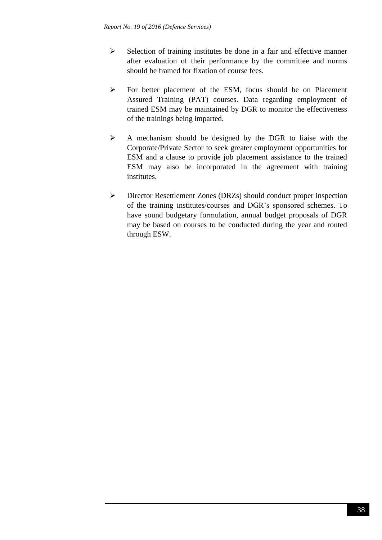- $\triangleright$  Selection of training institutes be done in a fair and effective manner after evaluation of their performance by the committee and norms should be framed for fixation of course fees.
- For better placement of the ESM, focus should be on Placement Assured Training (PAT) courses. Data regarding employment of trained ESM may be maintained by DGR to monitor the effectiveness of the trainings being imparted.
- $\triangleright$  A mechanism should be designed by the DGR to liaise with the Corporate/Private Sector to seek greater employment opportunities for ESM and a clause to provide job placement assistance to the trained ESM may also be incorporated in the agreement with training institutes.
- Director Resettlement Zones (DRZs) should conduct proper inspection of the training institutes/courses and DGR's sponsored schemes. To have sound budgetary formulation, annual budget proposals of DGR may be based on courses to be conducted during the year and routed through ESW.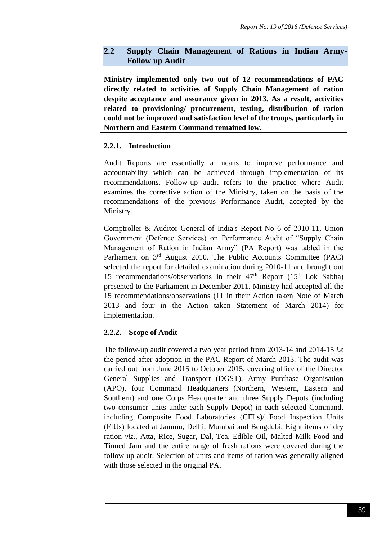## **2.2 Supply Chain Management of Rations in Indian Army-Follow up Audit**

**Ministry implemented only two out of 12 recommendations of PAC directly related to activities of Supply Chain Management of ration despite acceptance and assurance given in 2013. As a result, activities related to provisioning/ procurement, testing, distribution of ration could not be improved and satisfaction level of the troops, particularly in Northern and Eastern Command remained low.**

### **2.2.1. Introduction**

Audit Reports are essentially a means to improve performance and accountability which can be achieved through implementation of its recommendations. Follow-up audit refers to the practice where Audit examines the corrective action of the Ministry, taken on the basis of the recommendations of the previous Performance Audit, accepted by the Ministry.

Comptroller & Auditor General of India's Report No 6 of 2010-11, Union Government (Defence Services) on Performance Audit of "Supply Chain Management of Ration in Indian Army" (PA Report) was tabled in the Parliament on 3rd August 2010. The Public Accounts Committee (PAC) selected the report for detailed examination during 2010-11 and brought out 15 recommendations/observations in their  $47<sup>th</sup>$  Report (15<sup>th</sup> Lok Sabha) presented to the Parliament in December 2011. Ministry had accepted all the 15 recommendations/observations (11 in their Action taken Note of March 2013 and four in the Action taken Statement of March 2014) for implementation.

## **2.2.2. Scope of Audit**

The follow-up audit covered a two year period from 2013-14 and 2014-15 *i.e* the period after adoption in the PAC Report of March 2013. The audit was carried out from June 2015 to October 2015, covering office of the Director General Supplies and Transport (DGST), Army Purchase Organisation (APO), four Command Headquarters (Northern, Western, Eastern and Southern) and one Corps Headquarter and three Supply Depots (including two consumer units under each Supply Depot) in each selected Command, including Composite Food Laboratories (CFLs)/ Food Inspection Units (FIUs) located at Jammu, Delhi, Mumbai and Bengdubi. Eight items of dry ration *viz*., Atta, Rice, Sugar, Dal, Tea, Edible Oil, Malted Milk Food and Tinned Jam and the entire range of fresh rations were covered during the follow-up audit. Selection of units and items of ration was generally aligned with those selected in the original PA.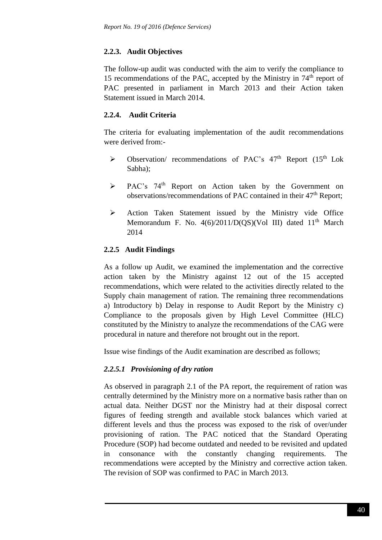# **2.2.3. Audit Objectives**

The follow-up audit was conducted with the aim to verify the compliance to 15 recommendations of the PAC, accepted by the Ministry in  $74<sup>th</sup>$  report of PAC presented in parliament in March 2013 and their Action taken Statement issued in March 2014.

# **2.2.4. Audit Criteria**

The criteria for evaluating implementation of the audit recommendations were derived from:-

- $\triangleright$  Observation/ recommendations of PAC's 47<sup>th</sup> Report (15<sup>th</sup> Lok Sabha);
- PAC's 74th Report on Action taken by the Government on observations/recommendations of PAC contained in their 47<sup>th</sup> Report;
- $\triangleright$  Action Taken Statement issued by the Ministry vide Office Memorandum F. No.  $4(6)/2011/D(OS)(Vol III)$  dated  $11<sup>th</sup>$  March 2014

# **2.2.5 Audit Findings**

As a follow up Audit, we examined the implementation and the corrective action taken by the Ministry against 12 out of the 15 accepted recommendations, which were related to the activities directly related to the Supply chain management of ration. The remaining three recommendations a) Introductory b) Delay in response to Audit Report by the Ministry c) Compliance to the proposals given by High Level Committee (HLC) constituted by the Ministry to analyze the recommendations of the CAG were procedural in nature and therefore not brought out in the report.

Issue wise findings of the Audit examination are described as follows;

# *2.2.5.1 Provisioning of dry ration*

As observed in paragraph 2.1 of the PA report, the requirement of ration was centrally determined by the Ministry more on a normative basis rather than on actual data. Neither DGST nor the Ministry had at their disposal correct figures of feeding strength and available stock balances which varied at different levels and thus the process was exposed to the risk of over/under provisioning of ration. The PAC noticed that the Standard Operating Procedure (SOP) had become outdated and needed to be revisited and updated in consonance with the constantly changing requirements. The recommendations were accepted by the Ministry and corrective action taken. The revision of SOP was confirmed to PAC in March 2013.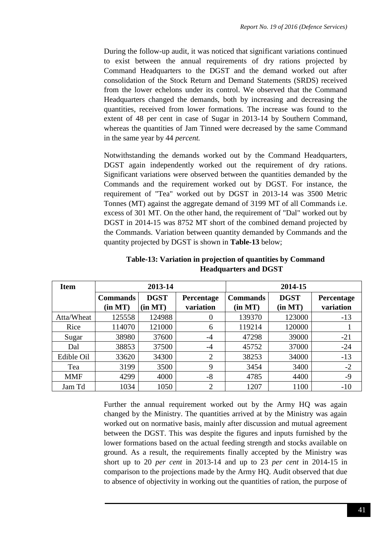During the follow-up audit, it was noticed that significant variations continued to exist between the annual requirements of dry rations projected by Command Headquarters to the DGST and the demand worked out after consolidation of the Stock Return and Demand Statements (SRDS) received from the lower echelons under its control. We observed that the Command Headquarters changed the demands, both by increasing and decreasing the quantities, received from lower formations. The increase was found to the extent of 48 per cent in case of Sugar in 2013-14 by Southern Command, whereas the quantities of Jam Tinned were decreased by the same Command in the same year by 44 *percent.*

Notwithstanding the demands worked out by the Command Headquarters, DGST again independently worked out the requirement of dry rations. Significant variations were observed between the quantities demanded by the Commands and the requirement worked out by DGST. For instance, the requirement of "Tea" worked out by DGST in 2013-14 was 3500 Metric Tonnes (MT) against the aggregate demand of 3199 MT of all Commands i.e. excess of 301 MT. On the other hand, the requirement of "Dal" worked out by DGST in 2014-15 was 8752 MT short of the combined demand projected by the Commands. Variation between quantity demanded by Commands and the quantity projected by DGST is shown in **Table-13** below;

| <b>Item</b> | 2013-14         |             |                | 2014-15         |             |            |
|-------------|-----------------|-------------|----------------|-----------------|-------------|------------|
|             | <b>Commands</b> | <b>DGST</b> | Percentage     | <b>Commands</b> | <b>DGST</b> | Percentage |
|             | (in MT)         | (in MT)     | variation      | (in MT)         | (in MT)     | variation  |
| Atta/Wheat  | 125558          | 124988      | 0              | 139370          | 123000      | $-13$      |
| Rice        | 114070          | 121000      | 6              | 119214          | 120000      |            |
| Sugar       | 38980           | 37600       | $-4$           | 47298           | 39000       | $-21$      |
| Dal         | 38853           | 37500       | $-4$           | 45752           | 37000       | $-24$      |
| Edible Oil  | 33620           | 34300       | $\overline{2}$ | 38253           | 34000       | $-13$      |
| Tea         | 3199            | 3500        | 9              | 3454            | 3400        | $-2$       |
| <b>MMF</b>  | 4299            | 4000        | $-8$           | 4785            | 4400        | $-9$       |
| Jam Td      | 1034            | 1050        | $\overline{2}$ | 1207            | 1100        | $-10$      |

**Table-13: Variation in projection of quantities by Command Headquarters and DGST**

Further the annual requirement worked out by the Army HQ was again changed by the Ministry. The quantities arrived at by the Ministry was again worked out on normative basis, mainly after discussion and mutual agreement between the DGST. This was despite the figures and inputs furnished by the lower formations based on the actual feeding strength and stocks available on ground. As a result, the requirements finally accepted by the Ministry was short up to 20 *per cent* in 2013-14 and up to 23 *per cent* in 2014-15 in comparison to the projections made by the Army HQ. Audit observed that due to absence of objectivity in working out the quantities of ration, the purpose of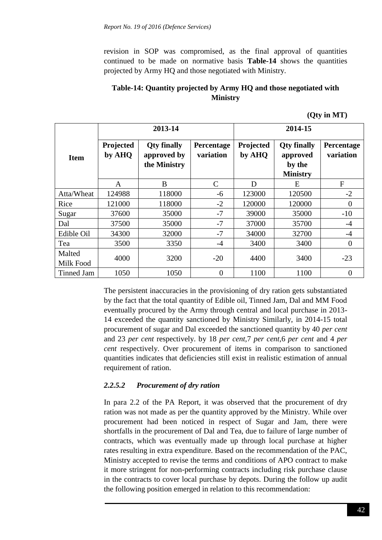revision in SOP was compromised, as the final approval of quantities continued to be made on normative basis **Table-14** shows the quantities projected by Army HQ and those negotiated with Ministry.

# **Table-14: Quantity projected by Army HQ and those negotiated with Ministry**

|                     |                     | 2013-14                                           |                                | 2014-15             |                                                             |                         |  |
|---------------------|---------------------|---------------------------------------------------|--------------------------------|---------------------|-------------------------------------------------------------|-------------------------|--|
| <b>Item</b>         | Projected<br>by AHQ | <b>Qty finally</b><br>approved by<br>the Ministry | <b>Percentage</b><br>variation | Projected<br>by AHQ | <b>Qty finally</b><br>approved<br>by the<br><b>Ministry</b> | Percentage<br>variation |  |
|                     | A                   | B                                                 | C                              | D                   | E                                                           | F                       |  |
| Atta/Wheat          | 124988              | 118000                                            | -6                             | 123000              | 120500                                                      | $-2$                    |  |
| Rice                | 121000              | 118000                                            | $-2$                           | 120000              | 120000                                                      | $\overline{0}$          |  |
| Sugar               | 37600               | 35000                                             | $-7$                           | 39000               | 35000                                                       | $-10$                   |  |
| Dal                 | 37500               | 35000                                             | $-7$                           | 37000               | 35700                                                       | $-4$                    |  |
| Edible Oil          | 34300               | 32000                                             | $-7$                           | 34000               | 32700                                                       | $-4$                    |  |
| Tea                 | 3500                | 3350                                              | $-4$                           | 3400                | 3400                                                        | $\overline{0}$          |  |
| Malted<br>Milk Food | 4000                | 3200                                              | $-20$                          | 4400                | 3400                                                        | $-23$                   |  |
| <b>Tinned Jam</b>   | 1050                | 1050                                              | $\overline{0}$                 | 1100                | 1100                                                        | 0                       |  |

**(Qty in MT)**

The persistent inaccuracies in the provisioning of dry ration gets substantiated by the fact that the total quantity of Edible oil, Tinned Jam, Dal and MM Food eventually procured by the Army through central and local purchase in 2013- 14 exceeded the quantity sanctioned by Ministry Similarly, in 2014-15 total procurement of sugar and Dal exceeded the sanctioned quantity by 40 *per cent* and 23 *per cent* respectively. by 18 *per cent,*7 *per cent,*6 *per cent* and 4 *per cent* respectively. Over procurement of items in comparison to sanctioned quantities indicates that deficiencies still exist in realistic estimation of annual requirement of ration.

## *2.2.5.2 Procurement of dry ration*

In para 2.2 of the PA Report, it was observed that the procurement of dry ration was not made as per the quantity approved by the Ministry. While over procurement had been noticed in respect of Sugar and Jam, there were shortfalls in the procurement of Dal and Tea, due to failure of large number of contracts, which was eventually made up through local purchase at higher rates resulting in extra expenditure. Based on the recommendation of the PAC, Ministry accepted to revise the terms and conditions of APO contract to make it more stringent for non-performing contracts including risk purchase clause in the contracts to cover local purchase by depots. During the follow up audit the following position emerged in relation to this recommendation: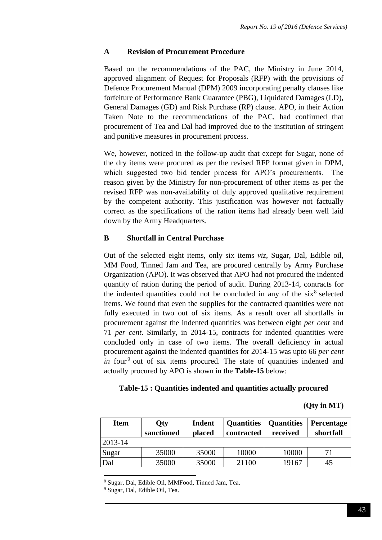### **A Revision of Procurement Procedure**

Based on the recommendations of the PAC, the Ministry in June 2014, approved alignment of Request for Proposals (RFP) with the provisions of Defence Procurement Manual (DPM) 2009 incorporating penalty clauses like forfeiture of Performance Bank Guarantee (PBG), Liquidated Damages (LD), General Damages (GD) and Risk Purchase (RP) clause. APO, in their Action Taken Note to the recommendations of the PAC, had confirmed that procurement of Tea and Dal had improved due to the institution of stringent and punitive measures in procurement process.

We, however, noticed in the follow-up audit that except for Sugar, none of the dry items were procured as per the revised RFP format given in DPM, which suggested two bid tender process for APO's procurements. The reason given by the Ministry for non-procurement of other items as per the revised RFP was non-availability of duly approved qualitative requirement by the competent authority. This justification was however not factually correct as the specifications of the ration items had already been well laid down by the Army Headquarters.

## **B Shortfall in Central Purchase**

Out of the selected eight items, only six items *viz*, Sugar, Dal, Edible oil, MM Food, Tinned Jam and Tea, are procured centrally by Army Purchase Organization (APO). It was observed that APO had not procured the indented quantity of ration during the period of audit. During 2013-14, contracts for the indented quantities could not be concluded in any of the  $six<sup>8</sup>$  selected items. We found that even the supplies for the contracted quantities were not fully executed in two out of six items. As a result over all shortfalls in procurement against the indented quantities was between eight *per cent* and 71 *per cent*. Similarly, in 2014-15, contracts for indented quantities were concluded only in case of two items. The overall deficiency in actual procurement against the indented quantities for 2014-15 was upto 66 *per cent in* four<sup>9</sup> out of six items procured. The state of quantities indented and actually procured by APO is shown in the **Table-15** below:

#### **Table-15 : Quantities indented and quantities actually procured**

**(Qty in MT)**

| <b>Item</b> | <b>Qty</b><br>sanctioned | <b>Indent</b><br>placed | <b>Quantities</b><br>contracted | <b>Quantities</b><br>received | <b>Percentage</b><br>shortfall |
|-------------|--------------------------|-------------------------|---------------------------------|-------------------------------|--------------------------------|
| $2013 - 14$ |                          |                         |                                 |                               |                                |
| Sugar       | 35000                    | 35000                   | 10000                           | 10000                         | 71                             |
| Dal         | 35000                    | 35000                   | 21100                           | 19167                         | 45                             |

<sup>8</sup> Sugar, Dal, Edible Oil, MMFood, Tinned Jam, Tea.

<sup>9</sup> Sugar, Dal, Edible Oil, Tea.

**.**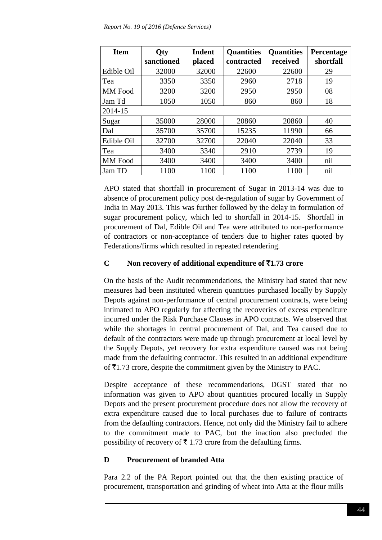| <b>Item</b>    | Qty        | <b>Indent</b> | <b>Quantities</b> | <b>Quantities</b> | Percentage |
|----------------|------------|---------------|-------------------|-------------------|------------|
|                | sanctioned | placed        | contracted        | received          | shortfall  |
| Edible Oil     | 32000      | 32000         | 22600             | 22600             | 29         |
| Tea            | 3350       | 3350          | 2960              | 2718              | 19         |
| <b>MM</b> Food | 3200       | 3200          | 2950              | 2950              | 08         |
| Jam Td         | 1050       | 1050          | 860               | 860               | 18         |
| 2014-15        |            |               |                   |                   |            |
| Sugar          | 35000      | 28000         | 20860             | 20860             | 40         |
| Dal            | 35700      | 35700         | 15235             | 11990             | 66         |
| Edible Oil     | 32700      | 32700         | 22040             | 22040             | 33         |
| Tea            | 3400       | 3340          | 2910              | 2739              | 19         |
| <b>MM</b> Food | 3400       | 3400          | 3400              | 3400              | nil        |
| Jam TD         | 1100       | 1100          | 1100              | 1100              | nil        |

APO stated that shortfall in procurement of Sugar in 2013-14 was due to absence of procurement policy post de-regulation of sugar by Government of India in May 2013. This was further followed by the delay in formulation of sugar procurement policy, which led to shortfall in 2014-15. Shortfall in procurement of Dal, Edible Oil and Tea were attributed to non-performance of contractors or non-acceptance of tenders due to higher rates quoted by Federations/firms which resulted in repeated retendering.

## **C Non recovery of additional expenditure of** `**1.73 crore**

On the basis of the Audit recommendations, the Ministry had stated that new measures had been instituted wherein quantities purchased locally by Supply Depots against non-performance of central procurement contracts, were being intimated to APO regularly for affecting the recoveries of excess expenditure incurred under the Risk Purchase Clauses in APO contracts. We observed that while the shortages in central procurement of Dal, and Tea caused due to default of the contractors were made up through procurement at local level by the Supply Depots, yet recovery for extra expenditure caused was not being made from the defaulting contractor. This resulted in an additional expenditure of  $\bar{\mathcal{F}}$ 1.73 crore, despite the commitment given by the Ministry to PAC.

Despite acceptance of these recommendations, DGST stated that no information was given to APO about quantities procured locally in Supply Depots and the present procurement procedure does not allow the recovery of extra expenditure caused due to local purchases due to failure of contracts from the defaulting contractors. Hence, not only did the Ministry fail to adhere to the commitment made to PAC, but the inaction also precluded the possibility of recovery of  $\bar{\tau}$  1.73 crore from the defaulting firms.

# **D Procurement of branded Atta**

Para 2.2 of the PA Report pointed out that the then existing practice of procurement, transportation and grinding of wheat into Atta at the flour mills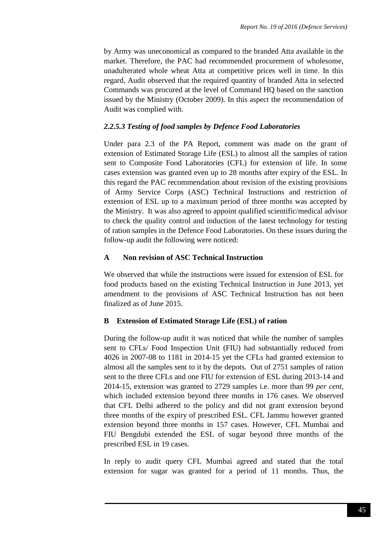by Army was uneconomical as compared to the branded Atta available in the market. Therefore, the PAC had recommended procurement of wholesome, unadulterated whole wheat Atta at competitive prices well in time. In this regard, Audit observed that the required quantity of branded Atta in selected Commands was procured at the level of Command HQ based on the sanction issued by the Ministry (October 2009). In this aspect the recommendation of Audit was complied with.

### *2.2.5.3 Testing of food samples by Defence Food Laboratories*

Under para 2.3 of the PA Report, comment was made on the grant of extension of Estimated Storage Life (ESL) to almost all the samples of ration sent to Composite Food Laboratories (CFL) for extension of life. In some cases extension was granted even up to 28 months after expiry of the ESL. In this regard the PAC recommendation about revision of the existing provisions of Army Service Corps (ASC) Technical Instructions and restriction of extension of ESL up to a maximum period of three months was accepted by the Ministry. It was also agreed to appoint qualified scientific/medical advisor to check the quality control and induction of the latest technology for testing of ration samples in the Defence Food Laboratories. On these issues during the follow-up audit the following were noticed:

### **A Non revision of ASC Technical Instruction**

We observed that while the instructions were issued for extension of ESL for food products based on the existing Technical Instruction in June 2013, yet amendment to the provisions of ASC Technical Instruction has not been finalized as of June 2015.

## **B Extension of Estimated Storage Life (ESL) of ration**

During the follow-up audit it was noticed that while the number of samples sent to CFLs/ Food Inspection Unit (FIU) had substantially reduced from 4026 in 2007-08 to 1181 in 2014-15 yet the CFLs had granted extension to almost all the samples sent to it by the depots. Out of 2751 samples of ration sent to the three CFLs and one FIU for extension of ESL during 2013-14 and 2014-15, extension was granted to 2729 samples i.e. more than 99 *per cent*, which included extension beyond three months in 176 cases. We observed that CFL Delhi adhered to the policy and did not grant extension beyond three months of the expiry of prescribed ESL. CFL Jammu however granted extension beyond three months in 157 cases. However, CFL Mumbai and FIU Bengdubi extended the ESL of sugar beyond three months of the prescribed ESL in 19 cases.

In reply to audit query CFL Mumbai agreed and stated that the total extension for sugar was granted for a period of 11 months. Thus, the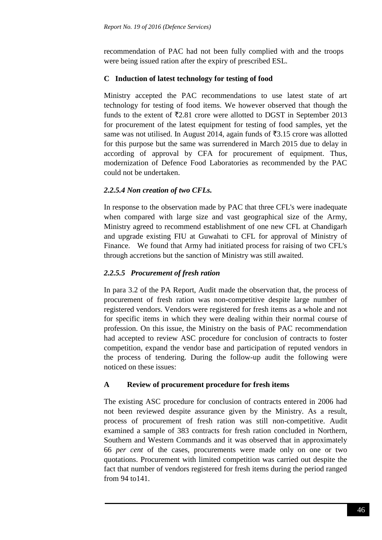recommendation of PAC had not been fully complied with and the troops were being issued ration after the expiry of prescribed ESL.

## **C Induction of latest technology for testing of food**

Ministry accepted the PAC recommendations to use latest state of art technology for testing of food items. We however observed that though the funds to the extent of  $\overline{z}2.81$  crore were allotted to DGST in September 2013 for procurement of the latest equipment for testing of food samples, yet the same was not utilised. In August 2014, again funds of  $\overline{53.15}$  crore was allotted for this purpose but the same was surrendered in March 2015 due to delay in according of approval by CFA for procurement of equipment. Thus, modernization of Defence Food Laboratories as recommended by the PAC could not be undertaken.

# *2.2.5.4 Non creation of two CFLs.*

In response to the observation made by PAC that three CFL's were inadequate when compared with large size and vast geographical size of the Army, Ministry agreed to recommend establishment of one new CFL at Chandigarh and upgrade existing FIU at Guwahati to CFL for approval of Ministry of Finance. We found that Army had initiated process for raising of two CFL's through accretions but the sanction of Ministry was still awaited.

# *2.2.5.5 Procurement of fresh ration*

In para 3.2 of the PA Report, Audit made the observation that, the process of procurement of fresh ration was non-competitive despite large number of registered vendors. Vendors were registered for fresh items as a whole and not for specific items in which they were dealing within their normal course of profession. On this issue, the Ministry on the basis of PAC recommendation had accepted to review ASC procedure for conclusion of contracts to foster competition, expand the vendor base and participation of reputed vendors in the process of tendering. During the follow-up audit the following were noticed on these issues:

# **A Review of procurement procedure for fresh items**

The existing ASC procedure for conclusion of contracts entered in 2006 had not been reviewed despite assurance given by the Ministry. As a result, process of procurement of fresh ration was still non-competitive. Audit examined a sample of 383 contracts for fresh ration concluded in Northern, Southern and Western Commands and it was observed that in approximately 66 *per cent* of the cases, procurements were made only on one or two quotations. Procurement with limited competition was carried out despite the fact that number of vendors registered for fresh items during the period ranged from 94 to141.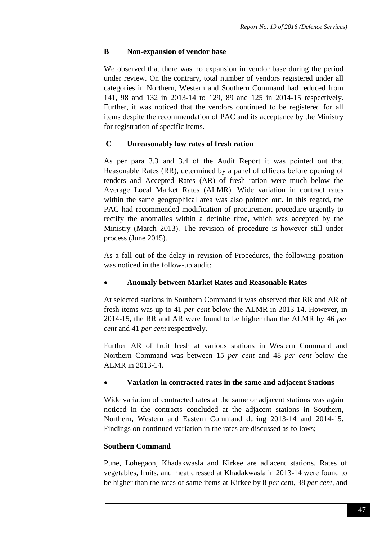## **B Non-expansion of vendor base**

We observed that there was no expansion in vendor base during the period under review. On the contrary, total number of vendors registered under all categories in Northern, Western and Southern Command had reduced from 141, 98 and 132 in 2013-14 to 129, 89 and 125 in 2014-15 respectively. Further, it was noticed that the vendors continued to be registered for all items despite the recommendation of PAC and its acceptance by the Ministry for registration of specific items.

## **C Unreasonably low rates of fresh ration**

As per para 3.3 and 3.4 of the Audit Report it was pointed out that Reasonable Rates (RR), determined by a panel of officers before opening of tenders and Accepted Rates (AR) of fresh ration were much below the Average Local Market Rates (ALMR). Wide variation in contract rates within the same geographical area was also pointed out. In this regard, the PAC had recommended modification of procurement procedure urgently to rectify the anomalies within a definite time, which was accepted by the Ministry (March 2013). The revision of procedure is however still under process (June 2015).

As a fall out of the delay in revision of Procedures, the following position was noticed in the follow-up audit:

## **Anomaly between Market Rates and Reasonable Rates**

At selected stations in Southern Command it was observed that RR and AR of fresh items was up to 41 *per cent* below the ALMR in 2013-14. However, in 2014-15, the RR and AR were found to be higher than the ALMR by 46 *per cent* and 41 *per cent* respectively.

Further AR of fruit fresh at various stations in Western Command and Northern Command was between 15 *per cent* and 48 *per cent* below the ALMR in 2013-14.

#### **Variation in contracted rates in the same and adjacent Stations**

Wide variation of contracted rates at the same or adjacent stations was again noticed in the contracts concluded at the adjacent stations in Southern, Northern, Western and Eastern Command during 2013-14 and 2014-15. Findings on continued variation in the rates are discussed as follows;

#### **Southern Command**

Pune, Lohegaon, Khadakwasla and Kirkee are adjacent stations. Rates of vegetables, fruits, and meat dressed at Khadakwasla in 2013-14 were found to be higher than the rates of same items at Kirkee by 8 *per ce*nt, 38 *per cent,* and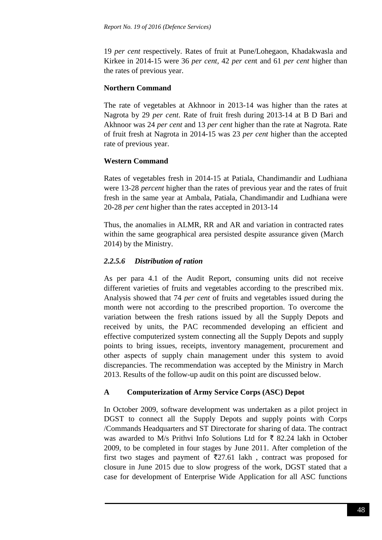19 *per cent* respectively. Rates of fruit at Pune/Lohegaon, Khadakwasla and Kirkee in 2014-15 were 36 *per cent,* 42 *per cen*t and 61 *per cent* higher than the rates of previous year.

## **Northern Command**

The rate of vegetables at Akhnoor in 2013-14 was higher than the rates at Nagrota by 29 *per cent*. Rate of fruit fresh during 2013-14 at B D Bari and Akhnoor was 24 *per cent* and 13 *per cent* higher than the rate at Nagrota. Rate of fruit fresh at Nagrota in 2014-15 was 23 *per cent* higher than the accepted rate of previous year.

# **Western Command**

Rates of vegetables fresh in 2014-15 at Patiala, Chandimandir and Ludhiana were 13-28 *percent* higher than the rates of previous year and the rates of fruit fresh in the same year at Ambala, Patiala, Chandimandir and Ludhiana were 20-28 *per cent* higher than the rates accepted in 2013-14

Thus, the anomalies in ALMR, RR and AR and variation in contracted rates within the same geographical area persisted despite assurance given (March 2014) by the Ministry.

# *2.2.5.6 Distribution of ration*

As per para 4.1 of the Audit Report, consuming units did not receive different varieties of fruits and vegetables according to the prescribed mix. Analysis showed that 74 *per cent* of fruits and vegetables issued during the month were not according to the prescribed proportion. To overcome the variation between the fresh rations issued by all the Supply Depots and received by units, the PAC recommended developing an efficient and effective computerized system connecting all the Supply Depots and supply points to bring issues, receipts, inventory management, procurement and other aspects of supply chain management under this system to avoid discrepancies. The recommendation was accepted by the Ministry in March 2013. Results of the follow-up audit on this point are discussed below.

# **A Computerization of Army Service Corps (ASC) Depot**

In October 2009, software development was undertaken as a pilot project in DGST to connect all the Supply Depots and supply points with Corps /Commands Headquarters and ST Directorate for sharing of data. The contract was awarded to M/s Prithvi Info Solutions Ltd for  $\bar{\tau}$  82.24 lakh in October 2009, to be completed in four stages by June 2011. After completion of the first two stages and payment of  $\overline{5}27.61$  lakh, contract was proposed for closure in June 2015 due to slow progress of the work, DGST stated that a case for development of Enterprise Wide Application for all ASC functions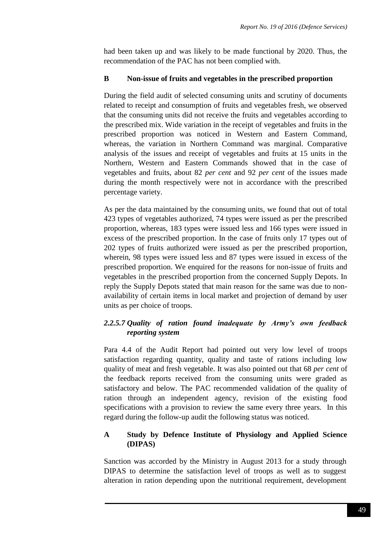had been taken up and was likely to be made functional by 2020. Thus, the recommendation of the PAC has not been complied with.

### **B Non-issue of fruits and vegetables in the prescribed proportion**

During the field audit of selected consuming units and scrutiny of documents related to receipt and consumption of fruits and vegetables fresh, we observed that the consuming units did not receive the fruits and vegetables according to the prescribed mix. Wide variation in the receipt of vegetables and fruits in the prescribed proportion was noticed in Western and Eastern Command, whereas, the variation in Northern Command was marginal. Comparative analysis of the issues and receipt of vegetables and fruits at 15 units in the Northern, Western and Eastern Commands showed that in the case of vegetables and fruits, about 82 *per cent* and 92 *per cent* of the issues made during the month respectively were not in accordance with the prescribed percentage variety.

As per the data maintained by the consuming units, we found that out of total 423 types of vegetables authorized, 74 types were issued as per the prescribed proportion, whereas, 183 types were issued less and 166 types were issued in excess of the prescribed proportion. In the case of fruits only 17 types out of 202 types of fruits authorized were issued as per the prescribed proportion, wherein, 98 types were issued less and 87 types were issued in excess of the prescribed proportion. We enquired for the reasons for non-issue of fruits and vegetables in the prescribed proportion from the concerned Supply Depots. In reply the Supply Depots stated that main reason for the same was due to nonavailability of certain items in local market and projection of demand by user units as per choice of troops.

## *2.2.5.7 Quality of ration found inadequate by Army's own feedback reporting system*

Para 4.4 of the Audit Report had pointed out very low level of troops satisfaction regarding quantity, quality and taste of rations including low quality of meat and fresh vegetable. It was also pointed out that 68 *per cent* of the feedback reports received from the consuming units were graded as satisfactory and below. The PAC recommended validation of the quality of ration through an independent agency, revision of the existing food specifications with a provision to review the same every three years. In this regard during the follow-up audit the following status was noticed.

## **A Study by Defence Institute of Physiology and Applied Science (DIPAS)**

Sanction was accorded by the Ministry in August 2013 for a study through DIPAS to determine the satisfaction level of troops as well as to suggest alteration in ration depending upon the nutritional requirement, development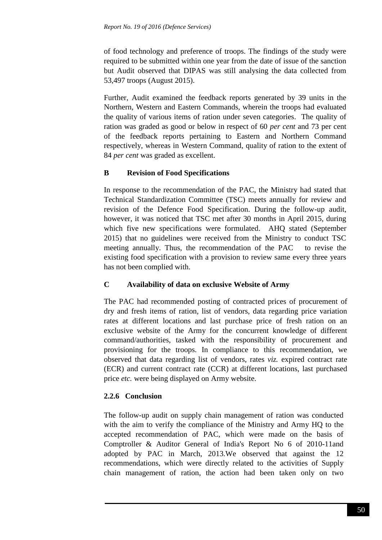of food technology and preference of troops. The findings of the study were required to be submitted within one year from the date of issue of the sanction but Audit observed that DIPAS was still analysing the data collected from 53,497 troops (August 2015).

Further, Audit examined the feedback reports generated by 39 units in the Northern, Western and Eastern Commands, wherein the troops had evaluated the quality of various items of ration under seven categories. The quality of ration was graded as good or below in respect of 60 *per cent* and 73 per cent of the feedback reports pertaining to Eastern and Northern Command respectively, whereas in Western Command, quality of ration to the extent of 84 *per cent* was graded as excellent.

# **B Revision of Food Specifications**

In response to the recommendation of the PAC, the Ministry had stated that Technical Standardization Committee (TSC) meets annually for review and revision of the Defence Food Specification. During the follow-up audit, however, it was noticed that TSC met after 30 months in April 2015, during which five new specifications were formulated. AHQ stated (September 2015) that no guidelines were received from the Ministry to conduct TSC meeting annually. Thus, the recommendation of the PAC to revise the existing food specification with a provision to review same every three years has not been complied with.

# **C Availability of data on exclusive Website of Army**

The PAC had recommended posting of contracted prices of procurement of dry and fresh items of ration, list of vendors, data regarding price variation rates at different locations and last purchase price of fresh ration on an exclusive website of the Army for the concurrent knowledge of different command/authorities, tasked with the responsibility of procurement and provisioning for the troops. In compliance to this recommendation, we observed that data regarding list of vendors, rates *viz.* expired contract rate (ECR) and current contract rate (CCR) at different locations, last purchased price *etc.* were being displayed on Army website.

# **2.2.6 Conclusion**

The follow-up audit on supply chain management of ration was conducted with the aim to verify the compliance of the Ministry and Army HQ to the accepted recommendation of PAC, which were made on the basis of Comptroller & Auditor General of India's Report No 6 of 2010-11and adopted by PAC in March, 2013.We observed that against the 12 recommendations, which were directly related to the activities of Supply chain management of ration, the action had been taken only on two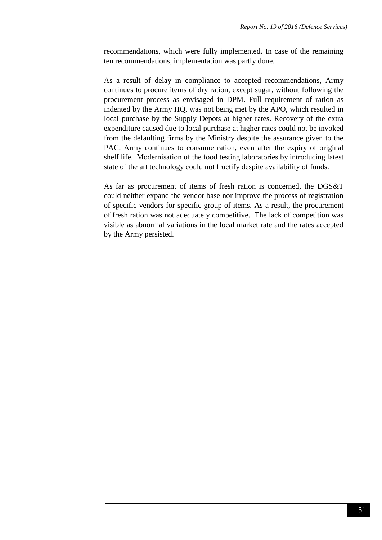recommendations, which were fully implemented**.** In case of the remaining ten recommendations, implementation was partly done.

As a result of delay in compliance to accepted recommendations, Army continues to procure items of dry ration, except sugar, without following the procurement process as envisaged in DPM. Full requirement of ration as indented by the Army HQ, was not being met by the APO, which resulted in local purchase by the Supply Depots at higher rates. Recovery of the extra expenditure caused due to local purchase at higher rates could not be invoked from the defaulting firms by the Ministry despite the assurance given to the PAC. Army continues to consume ration, even after the expiry of original shelf life. Modernisation of the food testing laboratories by introducing latest state of the art technology could not fructify despite availability of funds.

As far as procurement of items of fresh ration is concerned, the DGS&T could neither expand the vendor base nor improve the process of registration of specific vendors for specific group of items. As a result, the procurement of fresh ration was not adequately competitive. The lack of competition was visible as abnormal variations in the local market rate and the rates accepted by the Army persisted.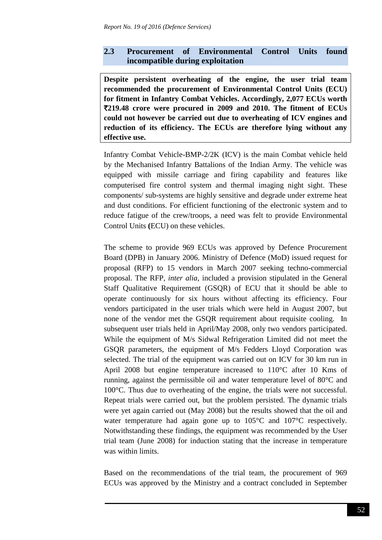# **2.3 Procurement of Environmental Control Units found incompatible during exploitation**

**Despite persistent overheating of the engine, the user trial team recommended the procurement of Environmental Control Units (ECU) for fitment in Infantry Combat Vehicles. Accordingly, 2,077 ECUs worth**  `**219.48 crore were procured in 2009 and 2010. The fitment of ECUs could not however be carried out due to overheating of ICV engines and reduction of its efficiency. The ECUs are therefore lying without any effective use.**

Infantry Combat Vehicle-BMP-2/2K (ICV) is the main Combat vehicle held by the Mechanised Infantry Battalions of the Indian Army. The vehicle was equipped with missile carriage and firing capability and features like computerised fire control system and thermal imaging night sight. These components/ sub-systems are highly sensitive and degrade under extreme heat and dust conditions. For efficient functioning of the electronic system and to reduce fatigue of the crew/troops, a need was felt to provide Environmental Control Units **(**ECU) on these vehicles.

The scheme to provide 969 ECUs was approved by Defence Procurement Board (DPB) in January 2006. Ministry of Defence (MoD) issued request for proposal (RFP) to 15 vendors in March 2007 seeking techno-commercial proposal. The RFP, *inter alia*, included a provision stipulated in the General Staff Qualitative Requirement (GSQR) of ECU that it should be able to operate continuously for six hours without affecting its efficiency. Four vendors participated in the user trials which were held in August 2007, but none of the vendor met the GSQR requirement about requisite cooling. In subsequent user trials held in April/May 2008, only two vendors participated. While the equipment of M/s Sidwal Refrigeration Limited did not meet the GSQR parameters, the equipment of M/s Fedders Lloyd Corporation was selected. The trial of the equipment was carried out on ICV for 30 km run in April 2008 but engine temperature increased to 110°C after 10 Kms of running, against the permissible oil and water temperature level of 80°C and 100°C. Thus due to overheating of the engine, the trials were not successful. Repeat trials were carried out, but the problem persisted. The dynamic trials were yet again carried out (May 2008) but the results showed that the oil and water temperature had again gone up to 105°C and 107°C respectively. Notwithstanding these findings, the equipment was recommended by the User trial team (June 2008) for induction stating that the increase in temperature was within limits.

Based on the recommendations of the trial team, the procurement of 969 ECUs was approved by the Ministry and a contract concluded in September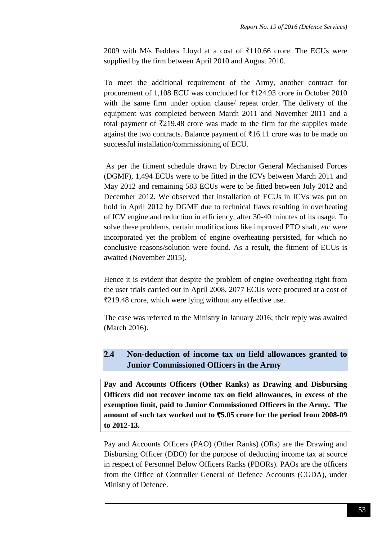2009 with M/s Fedders Lloyd at a cost of  $\bar{x}$ 110.66 crore. The ECUs were supplied by the firm between April 2010 and August 2010.

To meet the additional requirement of the Army, another contract for procurement of 1,108 ECU was concluded for  $\overline{5}124.93$  crore in October 2010 with the same firm under option clause/ repeat order. The delivery of the equipment was completed between March 2011 and November 2011 and a total payment of  $\bar{\tau}$ 219.48 crore was made to the firm for the supplies made against the two contracts. Balance payment of  $\bar{\tau}16.11$  crore was to be made on successful installation/commissioning of ECU.

As per the fitment schedule drawn by Director General Mechanised Forces (DGMF), 1,494 ECUs were to be fitted in the ICVs between March 2011 and May 2012 and remaining 583 ECUs were to be fitted between July 2012 and December 2012. We observed that installation of ECUs in ICVs was put on hold in April 2012 by DGMF due to technical flaws resulting in overheating of ICV engine and reduction in efficiency, after 30-40 minutes of its usage. To solve these problems, certain modifications like improved PTO shaft, *etc* were incorporated yet the problem of engine overheating persisted, for which no conclusive reasons/solution were found. As a result, the fitment of ECUs is awaited (November 2015).

Hence it is evident that despite the problem of engine overheating right from the user trials carried out in April 2008, 2077 ECUs were procured at a cost of `219.48 crore, which were lying without any effective use.

The case was referred to the Ministry in January 2016; their reply was awaited (March 2016).

# **2.4 Non-deduction of income tax on field allowances granted to Junior Commissioned Officers in the Army**

**Pay and Accounts Officers (Other Ranks) as Drawing and Disbursing Officers did not recover income tax on field allowances, in excess of the exemption limit, paid to Junior Commissioned Officers in the Army. The amount of such tax worked out to** `**5.05 crore for the period from 2008-09 to 2012-13.**

Pay and Accounts Officers (PAO) (Other Ranks) (ORs) are the Drawing and Disbursing Officer (DDO) for the purpose of deducting income tax at source in respect of Personnel Below Officers Ranks (PBORs). PAOs are the officers from the Office of Controller General of Defence Accounts (CGDA), under Ministry of Defence.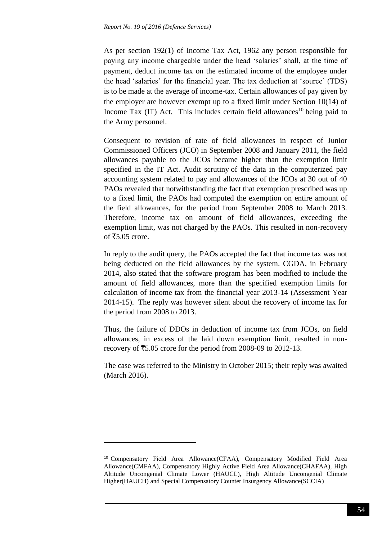As per section 192(1) of Income Tax Act, 1962 any person responsible for paying any income chargeable under the head 'salaries' shall, at the time of payment, deduct income tax on the estimated income of the employee under the head 'salaries' for the financial year. The tax deduction at 'source' (TDS) is to be made at the average of income-tax. Certain allowances of pay given by the employer are however exempt up to a fixed limit under Section 10(14) of Income Tax (IT) Act. This includes certain field allowances<sup>10</sup> being paid to the Army personnel.

Consequent to revision of rate of field allowances in respect of Junior Commissioned Officers (JCO) in September 2008 and January 2011, the field allowances payable to the JCOs became higher than the exemption limit specified in the IT Act. Audit scrutiny of the data in the computerized pay accounting system related to pay and allowances of the JCOs at 30 out of 40 PAOs revealed that notwithstanding the fact that exemption prescribed was up to a fixed limit, the PAOs had computed the exemption on entire amount of the field allowances, for the period from September 2008 to March 2013. Therefore, income tax on amount of field allowances, exceeding the exemption limit, was not charged by the PAOs. This resulted in non-recovery of  $\overline{5.05}$  crore.

In reply to the audit query, the PAOs accepted the fact that income tax was not being deducted on the field allowances by the system. CGDA, in February 2014, also stated that the software program has been modified to include the amount of field allowances, more than the specified exemption limits for calculation of income tax from the financial year 2013-14 (Assessment Year 2014-15). The reply was however silent about the recovery of income tax for the period from 2008 to 2013.

Thus, the failure of DDOs in deduction of income tax from JCOs, on field allowances, in excess of the laid down exemption limit, resulted in nonrecovery of  $\text{\textsterling}5.05$  crore for the period from 2008-09 to 2012-13.

The case was referred to the Ministry in October 2015; their reply was awaited (March 2016).

**.** 

<sup>10</sup> Compensatory Field Area Allowance(CFAA), Compensatory Modified Field Area Allowance(CMFAA), Compensatory Highly Active Field Area Allowance(CHAFAA), High Altitude Uncongenial Climate Lower (HAUCL), High Altitude Uncongenial Climate Higher(HAUCH) and Special Compensatory Counter Insurgency Allowance(SCCIA)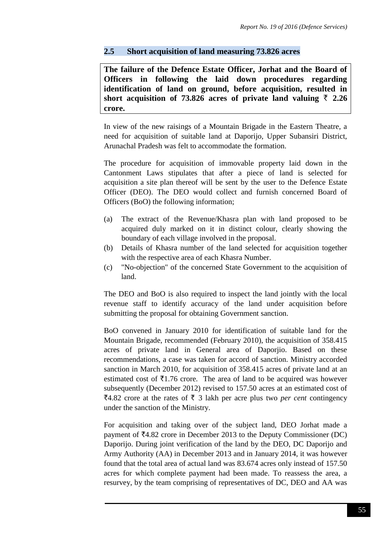## **2.5 Short acquisition of land measuring 73.826 acres**

**The failure of the Defence Estate Officer, Jorhat and the Board of Officers in following the laid down procedures regarding identification of land on ground, before acquisition, resulted in**  short acquisition of 73.826 acres of private land valuing  $\bar{\tau}$  2.26 **crore.**

In view of the new raisings of a Mountain Brigade in the Eastern Theatre, a need for acquisition of suitable land at Daporijo, Upper Subansiri District, Arunachal Pradesh was felt to accommodate the formation.

The procedure for acquisition of immovable property laid down in the Cantonment Laws stipulates that after a piece of land is selected for acquisition a site plan thereof will be sent by the user to the Defence Estate Officer (DEO). The DEO would collect and furnish concerned Board of Officers (BoO) the following information;

- (a) The extract of the Revenue/Khasra plan with land proposed to be acquired duly marked on it in distinct colour, clearly showing the boundary of each village involved in the proposal.
- (b) Details of Khasra number of the land selected for acquisition together with the respective area of each Khasra Number.
- (c) "No-objection" of the concerned State Government to the acquisition of land.

The DEO and BoO is also required to inspect the land jointly with the local revenue staff to identify accuracy of the land under acquisition before submitting the proposal for obtaining Government sanction.

BoO convened in January 2010 for identification of suitable land for the Mountain Brigade, recommended (February 2010), the acquisition of 358.415 acres of private land in General area of Daporjio. Based on these recommendations, a case was taken for accord of sanction. Ministry accorded sanction in March 2010, for acquisition of 358.415 acres of private land at an estimated cost of  $\bar{\mathcal{F}}$ 1.76 crore. The area of land to be acquired was however subsequently (December 2012) revised to 157.50 acres at an estimated cost of  $\overline{5}4.82$  crore at the rates of  $\overline{5}$  3 lakh per acre plus two *per cent* contingency under the sanction of the Ministry.

For acquisition and taking over of the subject land, DEO Jorhat made a payment of  $\overline{54.82}$  crore in December 2013 to the Deputy Commissioner (DC) Daporijo. During joint verification of the land by the DEO, DC Daporijo and Army Authority (AA) in December 2013 and in January 2014, it was however found that the total area of actual land was 83.674 acres only instead of 157.50 acres for which complete payment had been made. To reassess the area, a resurvey, by the team comprising of representatives of DC, DEO and AA was